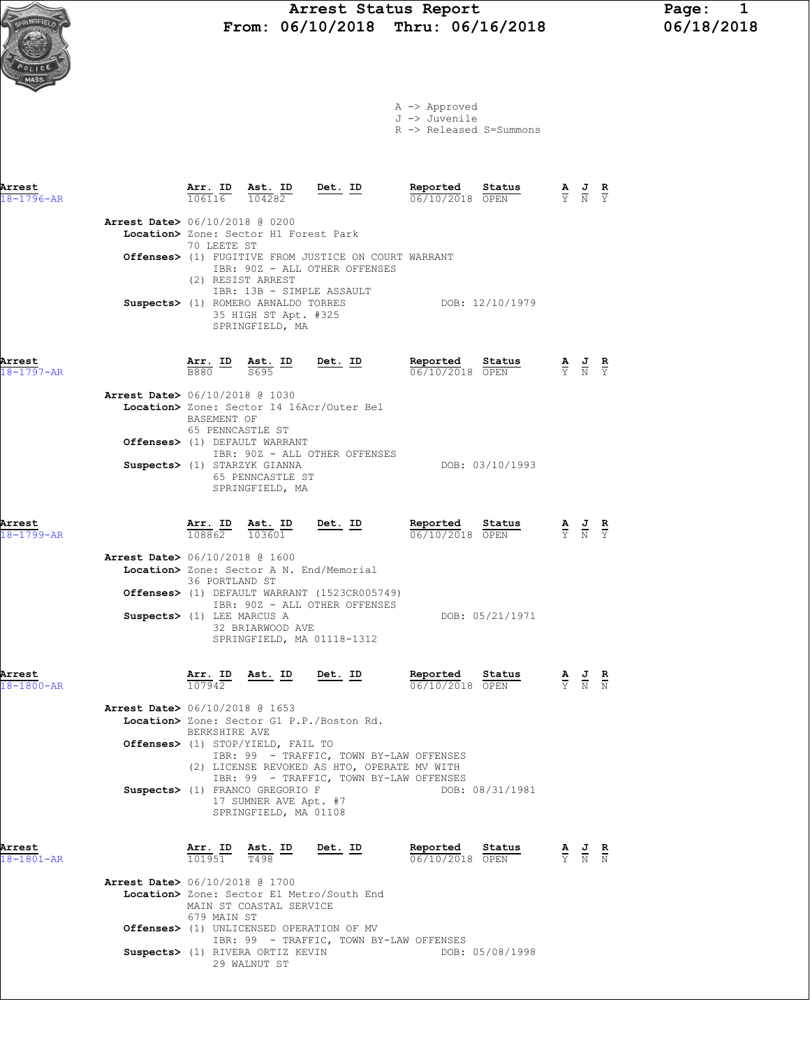A -> Approved J -> Juvenile

R -> Released S=Summons

| Arrest<br>18-1796-AR       |                                          | $\frac{\texttt{Arr. ID}}{106116}$                                    | <u>Ast. ID</u><br>104282                                                                                                                       | <u>Det. ID</u>                                                                                                                    | Reported<br>06/10/2018 OPEN        | Status          |                             |                                                                                                       | $\frac{R}{Y}$                 |
|----------------------------|------------------------------------------|----------------------------------------------------------------------|------------------------------------------------------------------------------------------------------------------------------------------------|-----------------------------------------------------------------------------------------------------------------------------------|------------------------------------|-----------------|-----------------------------|-------------------------------------------------------------------------------------------------------|-------------------------------|
|                            | <b>Arrest Date&gt;</b> 06/10/2018 @ 0200 | 70 LEETE ST                                                          | Location> Zone: Sector H1 Forest Park                                                                                                          |                                                                                                                                   |                                    |                 |                             |                                                                                                       |                               |
|                            |                                          |                                                                      | (2) RESIST ARREST                                                                                                                              | Offenses> (1) FUGITIVE FROM JUSTICE ON COURT WARRANT<br>IBR: 90Z - ALL OTHER OFFENSES                                             |                                    |                 |                             |                                                                                                       |                               |
|                            |                                          |                                                                      | IBR: 13B - SIMPLE ASSAULT<br>Suspects> (1) ROMERO ARNALDO TORRES<br>35 HIGH ST Apt. #325<br>SPRINGFIELD, MA                                    |                                                                                                                                   |                                    | DOB: 12/10/1979 |                             |                                                                                                       |                               |
| Arrest<br>$18 - 1797 - AR$ |                                          |                                                                      | $\frac{\texttt{Arr.}}{\texttt{B880}}$ $\frac{\texttt{Ab.}}{\texttt{S695}}$ $\frac{\texttt{ID}}{\texttt{D}}$ $\frac{\texttt{Det.}}{\texttt{D}}$ |                                                                                                                                   | Reported Status<br>06/10/2018 OPEN |                 |                             | $\frac{\mathbf{A}}{\overline{Y}}$ $\frac{\mathbf{J}}{\overline{N}}$ $\frac{\mathbf{R}}{\overline{Y}}$ |                               |
|                            | <b>Arrest Date&gt;</b> 06/10/2018 @ 1030 | BASEMENT OF<br>65 PENNCASTLE ST                                      |                                                                                                                                                | Location> Zone: Sector I4 16Acr/Outer Bel                                                                                         |                                    |                 |                             |                                                                                                       |                               |
|                            |                                          |                                                                      | Offenses> (1) DEFAULT WARRANT<br>Suspects> (1) STARZYK GIANNA<br>65 PENNCASTLE ST<br>SPRINGFIELD, MA                                           | IBR: 90Z - ALL OTHER OFFENSES                                                                                                     |                                    | DOB: 03/10/1993 |                             |                                                                                                       |                               |
| Arrest<br>18-1799-AR       |                                          | $\frac{\texttt{Arr. ID}}{108862}$ $\frac{\texttt{ Ast. ID}}{103601}$ | Ast. ID                                                                                                                                        | <u>Det. ID</u>                                                                                                                    | Reported<br>06/10/2018 OPEN        | Status          |                             | $\frac{\mathbf{A}}{\mathbf{Y}}$ $\frac{\mathbf{J}}{\mathbf{N}}$                                       | $rac{\mathbf{R}}{\mathbf{Y}}$ |
|                            | <b>Arrest Date&gt;</b> 06/10/2018 @ 1600 | 36 PORTLAND ST                                                       | Location> Zone: Sector A N. End/Memorial                                                                                                       | Offenses> (1) DEFAULT WARRANT (1523CR005749)                                                                                      |                                    |                 |                             |                                                                                                       |                               |
|                            | Suspects> (1) LEE MARCUS A               |                                                                      | 32 BRIARWOOD AVE<br>SPRINGFIELD, MA 01118-1312                                                                                                 | IBR: 90Z - ALL OTHER OFFENSES                                                                                                     |                                    | DOB: 05/21/1971 |                             |                                                                                                       |                               |
| Arrest<br>18-1800-AR       |                                          | <u>Arr. ID</u><br>107942                                             | <u>Ast.</u> ID                                                                                                                                 | <u>Det. ID</u>                                                                                                                    | Reported Status<br>06/10/2018 OPEN |                 | $\frac{A}{Y}$ $\frac{J}{N}$ |                                                                                                       |                               |
|                            | <b>Arrest Date&gt;</b> 06/10/2018 @ 1653 | BERKSHIRE AVE                                                        |                                                                                                                                                | Location> Zone: Sector G1 P.P./Boston Rd.                                                                                         |                                    |                 |                             |                                                                                                       |                               |
|                            |                                          |                                                                      | <b>Offenses&gt;</b> (1) STOP/YIELD, FAIL TO                                                                                                    | IBR: 99 - TRAFFIC, TOWN BY-LAW OFFENSES<br>(2) LICENSE REVOKED AS HTO, OPERATE MV WITH<br>IBR: 99 - TRAFFIC, TOWN BY-LAW OFFENSES |                                    |                 |                             |                                                                                                       |                               |
|                            |                                          |                                                                      | Suspects> (1) FRANCO GREGORIO F<br>17 SUMNER AVE Apt. #7<br>SPRINGFIELD, MA 01108                                                              |                                                                                                                                   |                                    | DOB: 08/31/1981 |                             |                                                                                                       |                               |
| Arrest<br>$8 - 1801 - AR$  |                                          |                                                                      | $\frac{\texttt{Arr.}}{101951}$ $\frac{\texttt{ Ast.}}{1498}$ $\frac{\texttt{ID}}{10195}$                                                       | <u>Det. ID</u>                                                                                                                    | <u>Reported</u><br>06/10/2018 OPEN | <u>Status</u>   |                             | $\frac{\mathbf{A}}{\mathbf{Y}}$ $\frac{\mathbf{J}}{\mathbf{N}}$ $\frac{\mathbf{R}}{\mathbf{N}}$       |                               |
|                            | <b>Arrest Date&gt;</b> 06/10/2018 @ 1700 | 679 MAIN ST                                                          | MAIN ST COASTAL SERVICE                                                                                                                        | Location> Zone: Sector E1 Metro/South End                                                                                         |                                    |                 |                             |                                                                                                       |                               |
|                            |                                          |                                                                      | Offenses> (1) UNLICENSED OPERATION OF MV<br>Suspects> (1) RIVERA ORTIZ KEVIN                                                                   | IBR: 99 - TRAFFIC, TOWN BY-LAW OFFENSES                                                                                           |                                    | DOB: 05/08/1998 |                             |                                                                                                       |                               |
|                            |                                          |                                                                      |                                                                                                                                                |                                                                                                                                   |                                    |                 |                             |                                                                                                       |                               |

29 WALNUT ST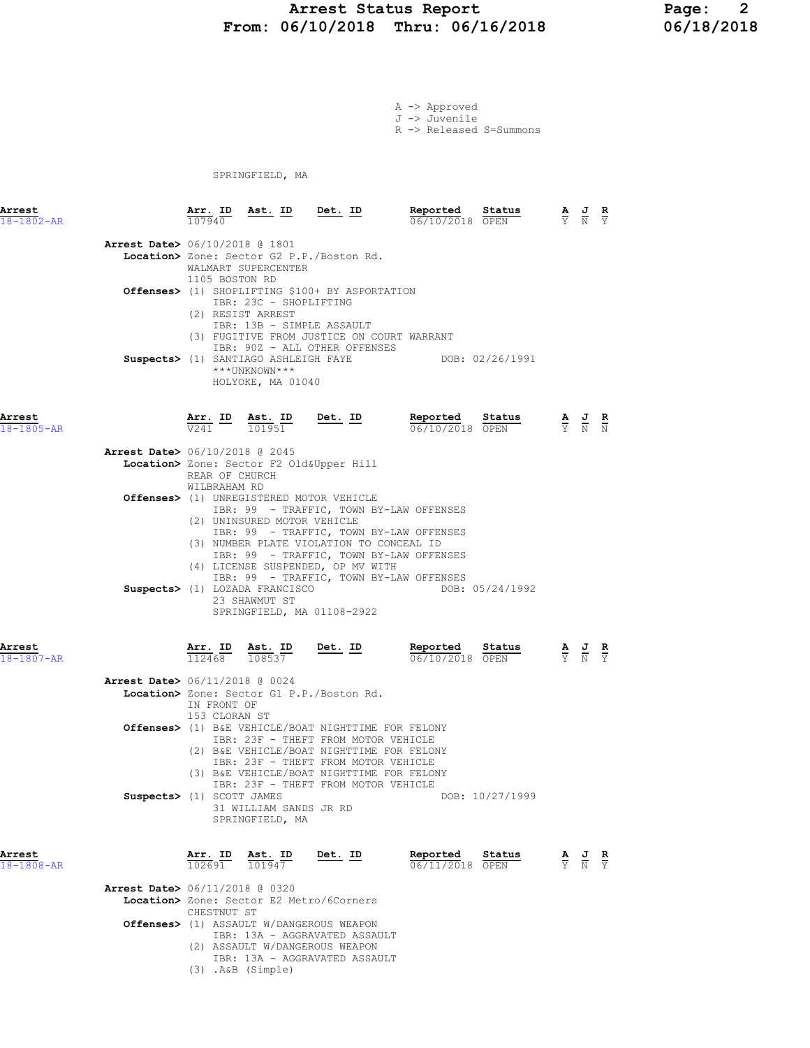#### Arrest Status Report 16/2018 1998: 2<br>16/10/2018 Thru: 06/16/2018 16/18/2018 From: 06/10/2018 Thru: 06/16/2018

A -> Approved J -> Juvenile R -> Released S=Summons

SPRINGFIELD, MA

| Arrest<br>18-1802-AR       |                                          | 107940                       | <u>Arr. ID Ast. ID Det. ID</u>                                                                  |                                                                                                                                                                                                                                                                              |                                                                                                                               |                                   |                                                                                                       |  |
|----------------------------|------------------------------------------|------------------------------|-------------------------------------------------------------------------------------------------|------------------------------------------------------------------------------------------------------------------------------------------------------------------------------------------------------------------------------------------------------------------------------|-------------------------------------------------------------------------------------------------------------------------------|-----------------------------------|-------------------------------------------------------------------------------------------------------|--|
|                            | <b>Arrest Date&gt;</b> 06/10/2018 @ 1801 | 1105 BOSTON RD               | WALMART SUPERCENTER<br>IBR: 23C - SHOPLIFTING<br>(2) RESIST ARREST<br>IBR: 13B - SIMPLE ASSAULT | Location> Zone: Sector G2 P.P./Boston Rd.<br>Offenses> (1) SHOPLIFTING \$100+ BY ASPORTATION<br>(3) FUGITIVE FROM JUSTICE ON COURT WARRANT<br>IBR: 90Z - ALL OTHER OFFENSES                                                                                                  |                                                                                                                               |                                   |                                                                                                       |  |
|                            |                                          |                              | ***UNKNOWN***<br>HOLYOKE, MA 01040                                                              | Suspects> (1) SANTIAGO ASHLEIGH FAYE                                                                                                                                                                                                                                         | DOB: 02/26/1991                                                                                                               |                                   |                                                                                                       |  |
| Arrest<br>$18 - 1805 - AR$ |                                          | $\overline{v241}$ –          | Arr. ID Ast. ID<br>101951                                                                       | Det. ID                                                                                                                                                                                                                                                                      | 06/10/2018 OPEN                                                                                                               |                                   |                                                                                                       |  |
|                            | Arrest Date> 06/10/2018 @ 2045           | REAR OF CHURCH               |                                                                                                 | Location> Zone: Sector F2 Old&Upper Hill                                                                                                                                                                                                                                     |                                                                                                                               |                                   |                                                                                                       |  |
|                            |                                          | WILBRAHAM RD                 | (2) UNINSURED MOTOR VEHICLE                                                                     | Offenses> (1) UNREGISTERED MOTOR VEHICLE<br>(3) NUMBER PLATE VIOLATION TO CONCEAL ID                                                                                                                                                                                         | IBR: 99 - TRAFFIC, TOWN BY-LAW OFFENSES<br>IBR: 99 - TRAFFIC, TOWN BY-LAW OFFENSES<br>IBR: 99 - TRAFFIC, TOWN BY-LAW OFFENSES |                                   |                                                                                                       |  |
|                            |                                          |                              | Suspects> (1) LOZADA FRANCISCO<br>23 SHAWMUT ST                                                 | (4) LICENSE SUSPENDED, OP MV WITH<br>SPRINGFIELD, MA 01108-2922                                                                                                                                                                                                              | IBR: 99 - TRAFFIC, TOWN BY-LAW OFFENSES<br>DOB: 05/24/1992                                                                    |                                   |                                                                                                       |  |
| Arrest<br>$18 - 1807 - AR$ |                                          | Arr. ID                      | $\underbrace{\texttt{Ast.}}_{\overline{100500}}$ ID Det. ID<br>$112468$ $108537$                |                                                                                                                                                                                                                                                                              | Reported<br>Status<br>06/10/2018 OPEN                                                                                         |                                   | $\frac{\mathbf{A}}{\overline{Y}}$ $\frac{\mathbf{J}}{\overline{N}}$ $\frac{\mathbf{R}}{\overline{Y}}$ |  |
|                            | Arrest Date> 06/11/2018 @ 0024           | IN FRONT OF<br>153 CLORAN ST |                                                                                                 | Location> Zone: Sector G1 P.P./Boston Rd.                                                                                                                                                                                                                                    |                                                                                                                               |                                   |                                                                                                       |  |
|                            |                                          |                              |                                                                                                 | <b>Offenses&gt;</b> (1) B&E VEHICLE/BOAT NIGHTTIME FOR FELONY<br>IBR: 23F - THEFT FROM MOTOR VEHICLE<br>(2) B&E VEHICLE/BOAT NIGHTTIME FOR FELONY<br>IBR: 23F - THEFT FROM MOTOR VEHICLE<br>(3) B&E VEHICLE/BOAT NIGHTTIME FOR FELONY<br>IBR: 23F - THEFT FROM MOTOR VEHICLE |                                                                                                                               |                                   |                                                                                                       |  |
|                            | Suspects> (1) SCOTT JAMES                |                              | 31 WILLIAM SANDS JR RD<br>SPRINGFIELD, MA                                                       |                                                                                                                                                                                                                                                                              | DOB: 10/27/1999                                                                                                               |                                   |                                                                                                       |  |
| Arrest<br>$18 - 1808 - AR$ |                                          | Arr. ID<br>102691            | <u>Ast. ID</u><br>101947                                                                        | <u>Det. ID</u>                                                                                                                                                                                                                                                               | Reported<br>Status<br>06/11/2018 OPEN                                                                                         | $\frac{\mathbf{A}}{\overline{Y}}$ | $\frac{J}{N}$ $\frac{R}{Y}$                                                                           |  |
|                            | Arrest Date> 06/11/2018 @ 0320           | CHESTNUT ST                  |                                                                                                 | Location> Zone: Sector E2 Metro/6Corners                                                                                                                                                                                                                                     |                                                                                                                               |                                   |                                                                                                       |  |
|                            |                                          |                              | $(3)$ . A&B $(Simple)$                                                                          | <b>Offenses&gt;</b> (1) ASSAULT W/DANGEROUS WEAPON<br>IBR: 13A - AGGRAVATED ASSAULT<br>(2) ASSAULT W/DANGEROUS WEAPON<br>IBR: 13A - AGGRAVATED ASSAULT                                                                                                                       |                                                                                                                               |                                   |                                                                                                       |  |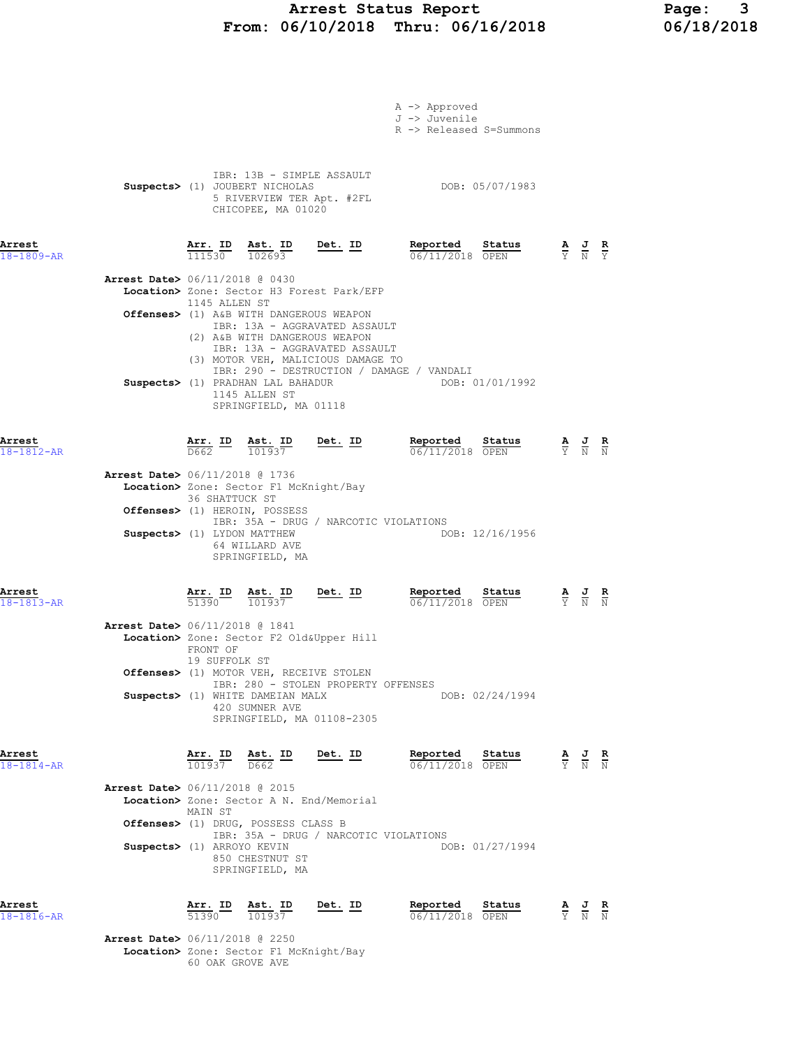## Arrest Status Report Page: 3<br>16/10/2018 Thru: 06/16/2018 06/18/2018 From: 06/10/2018 Thru: 06/16/2018

|                            |                                          |                           |                                                                                                                |                                                                                                    | A -> Approved<br>J -> Juvenile<br>R -> Released S=Summons    |                                                                                                 |                                                                                                       |  |
|----------------------------|------------------------------------------|---------------------------|----------------------------------------------------------------------------------------------------------------|----------------------------------------------------------------------------------------------------|--------------------------------------------------------------|-------------------------------------------------------------------------------------------------|-------------------------------------------------------------------------------------------------------|--|
|                            |                                          |                           | IBR: 13B - SIMPLE ASSAULT<br>Suspects> (1) JOUBERT NICHOLAS<br>5 RIVERVIEW TER Apt. #2FL<br>CHICOPEE, MA 01020 |                                                                                                    | DOB: 05/07/1983                                              |                                                                                                 |                                                                                                       |  |
| Arrest<br>18-1809-AR       |                                          | Arr. ID<br>111530         | <u>Ast. ID</u><br>102693                                                                                       | Det. ID                                                                                            | Reported<br>Status<br>06/11/2018 OPEN                        |                                                                                                 | $\frac{\mathbf{A}}{\mathbf{Y}}$ $\frac{\mathbf{J}}{\mathbf{N}}$ $\frac{\mathbf{R}}{\mathbf{Y}}$       |  |
|                            | <b>Arrest Date&gt;</b> 06/11/2018 @ 0430 |                           |                                                                                                                | Location> Zone: Sector H3 Forest Park/EFP                                                          |                                                              |                                                                                                 |                                                                                                       |  |
|                            |                                          | 1145 ALLEN ST             | Offenses> (1) A&B WITH DANGEROUS WEAPON<br>(2) A&B WITH DANGEROUS WEAPON                                       | IBR: 13A - AGGRAVATED ASSAULT<br>IBR: 13A - AGGRAVATED ASSAULT                                     |                                                              |                                                                                                 |                                                                                                       |  |
|                            |                                          |                           | Suspects> (1) PRADHAN LAL BAHADUR<br>1145 ALLEN ST<br>SPRINGFIELD, MA 01118                                    | (3) MOTOR VEH, MALICIOUS DAMAGE TO                                                                 | IBR: 290 - DESTRUCTION / DAMAGE / VANDALI<br>DOB: 01/01/1992 |                                                                                                 |                                                                                                       |  |
| Arrest<br>18-1812-AR       |                                          |                           | $\frac{\texttt{Arr.}}{\texttt{D662}}$ ID $\frac{\texttt{ Ast.}}{\texttt{101937}}$                              | $Det. ID$                                                                                          | Reported Status<br>06/11/2018 OPEN                           |                                                                                                 | $\frac{\mathbf{A}}{\mathbf{Y}}$ $\frac{\mathbf{J}}{\mathbf{N}}$ $\frac{\mathbf{R}}{\mathbf{N}}$       |  |
|                            | <b>Arrest Date&gt;</b> 06/11/2018 @ 1736 | 36 SHATTUCK ST            | Location> Zone: Sector F1 McKnight/Bay                                                                         |                                                                                                    |                                                              |                                                                                                 |                                                                                                       |  |
|                            |                                          |                           | Offenses> (1) HEROIN, POSSESS<br>Suspects> (1) LYDON MATTHEW<br>64 WILLARD AVE<br>SPRINGFIELD, MA              | IBR: 35A - DRUG / NARCOTIC VIOLATIONS                                                              | DOB: 12/16/1956                                              |                                                                                                 |                                                                                                       |  |
| Arrest<br>$18 - 1813 - AR$ |                                          | Arr. ID<br>51390          | Ast. ID<br>101937                                                                                              | $Det. ID$                                                                                          | Reported<br>Status<br>06/11/2018 OPEN                        |                                                                                                 | $\frac{\mathbf{A}}{\overline{Y}}$ $\frac{\mathbf{J}}{\overline{N}}$ $\frac{\mathbf{R}}{\overline{N}}$ |  |
|                            | Arrest Date> 06/11/2018 @ 1841           | FRONT OF<br>19 SUFFOLK ST |                                                                                                                | Location> Zone: Sector F2 Old&Upper Hill                                                           |                                                              |                                                                                                 |                                                                                                       |  |
|                            |                                          |                           | Offenses> (1) MOTOR VEH, RECEIVE STOLEN<br>Suspects> (1) WHITE DAMEIAN MALX<br>420 SUMNER AVE                  | IBR: 280 - STOLEN PROPERTY OFFENSES<br>SPRINGFIELD, MA 01108-2305                                  | DOB: 02/24/1994                                              |                                                                                                 |                                                                                                       |  |
| Arrest<br>$18 - 1814 - AR$ |                                          |                           |                                                                                                                | $\frac{\texttt{Arr. ID}}{101937}$ $\frac{\texttt{ Ast. ID}}{D662}$ $\frac{\texttt{Det. ID}}{D662}$ | Reported Status<br>06/11/2018 OPEN                           |                                                                                                 | $\frac{\mathbf{A}}{\mathbf{Y}}$ $\frac{\mathbf{J}}{\mathbf{N}}$ $\frac{\mathbf{R}}{\mathbf{N}}$       |  |
|                            | Arrest Date> 06/11/2018 @ 2015           | MAIN ST                   | Offenses> (1) DRUG, POSSESS CLASS B                                                                            | Location> Zone: Sector A N. End/Memorial                                                           |                                                              |                                                                                                 |                                                                                                       |  |
|                            | Suspects> (1) ARROYO KEVIN               |                           | 850 CHESTNUT ST<br>SPRINGFIELD, MA                                                                             | IBR: 35A - DRUG / NARCOTIC VIOLATIONS                                                              | DOB: 01/27/1994                                              |                                                                                                 |                                                                                                       |  |
| Arrest<br>18-1816-AR       |                                          |                           | $\frac{\texttt{Arr.}}{51390}$ $\frac{\texttt{ Ast.}}{101937}$                                                  | <u>Det. ID</u>                                                                                     | Reported<br>Status<br>06/11/2018 OPEN                        | $\frac{\mathbf{A}}{\mathbf{Y}}$ $\frac{\mathbf{J}}{\mathbf{N}}$ $\frac{\mathbf{R}}{\mathbf{N}}$ |                                                                                                       |  |
|                            | Arrest Date> 06/11/2018 @ 2250           |                           |                                                                                                                |                                                                                                    |                                                              |                                                                                                 |                                                                                                       |  |

 Location> Zone: Sector F1 McKnight/Bay 60 OAK GROVE AVE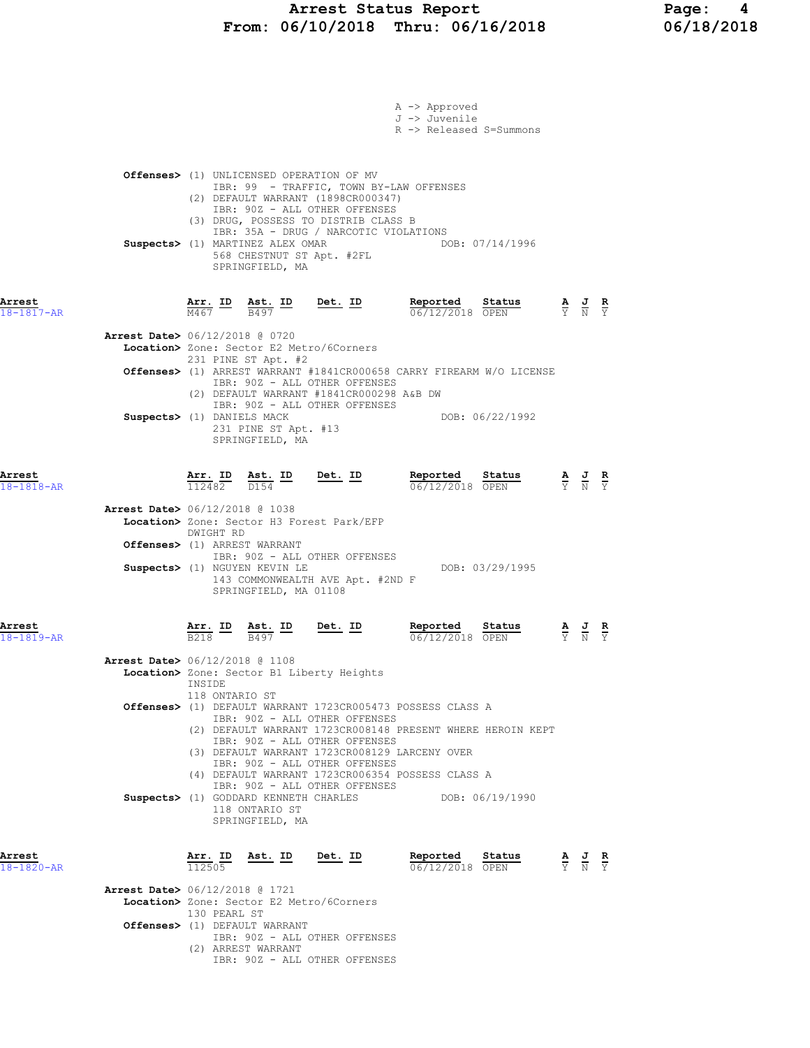|                      |                                          |                        |              |                                                                                                                                                                                                                                                                                                                                 |                | A -> Approved<br>J -> Juvenile | R -> Released S=Summons            |                                                                                                 |                                                                                                 |  |
|----------------------|------------------------------------------|------------------------|--------------|---------------------------------------------------------------------------------------------------------------------------------------------------------------------------------------------------------------------------------------------------------------------------------------------------------------------------------|----------------|--------------------------------|------------------------------------|-------------------------------------------------------------------------------------------------|-------------------------------------------------------------------------------------------------|--|
|                      |                                          |                        |              | Offenses> (1) UNLICENSED OPERATION OF MV<br>IBR: 99 - TRAFFIC, TOWN BY-LAW OFFENSES<br>(2) DEFAULT WARRANT (1898CR000347)<br>IBR: 90Z - ALL OTHER OFFENSES<br>(3) DRUG, POSSESS TO DISTRIB CLASS B<br>IBR: 35A - DRUG / NARCOTIC VIOLATIONS<br>Suspects> (1) MARTINEZ ALEX OMAR<br>568 CHESTNUT ST Apt. #2FL<br>SPRINGFIELD, MA |                |                                | DOB: 07/14/1996                    |                                                                                                 |                                                                                                 |  |
| Arrest<br>18-1817-AR |                                          |                        |              | $\frac{\texttt{Arr.}}{\text{M467}}$ ID $\frac{\texttt{ Ast.}}{\text{B497}}$ ID Det. ID                                                                                                                                                                                                                                          |                |                                | Reported Status<br>06/12/2018 OPEN | $\frac{\mathbf{A}}{\mathbf{Y}}$ $\frac{\mathbf{J}}{\mathbf{N}}$ $\frac{\mathbf{R}}{\mathbf{Y}}$ |                                                                                                 |  |
|                      | <b>Arrest Date&gt;</b> 06/12/2018 @ 0720 |                        |              | Location> Zone: Sector E2 Metro/6Corners                                                                                                                                                                                                                                                                                        |                |                                |                                    |                                                                                                 |                                                                                                 |  |
|                      |                                          |                        |              | 231 PINE ST Apt. #2<br>Offenses> (1) ARREST WARRANT #1841CR000658 CARRY FIREARM W/O LICENSE<br>IBR: 90Z - ALL OTHER OFFENSES<br>(2) DEFAULT WARRANT #1841CR000298 A&B DW                                                                                                                                                        |                |                                |                                    |                                                                                                 |                                                                                                 |  |
|                      | Suspects> (1) DANIELS MACK               |                        |              | IBR: 90Z - ALL OTHER OFFENSES<br>231 PINE ST Apt. #13<br>SPRINGFIELD, MA                                                                                                                                                                                                                                                        |                |                                | DOB: 06/22/1992                    |                                                                                                 |                                                                                                 |  |
| Arrest<br>18-1818-AR |                                          |                        |              | $\frac{\texttt{Arr.}}{112482}$ $\frac{\texttt{ Ast.}}{D154}$ $\frac{\texttt{ID}}{D}$ $\frac{\texttt{Det.}}{D}$                                                                                                                                                                                                                  |                |                                | Reported Status<br>06/12/2018 OPEN |                                                                                                 | $\frac{\mathbf{A}}{\mathbf{Y}}$ $\frac{\mathbf{J}}{\mathbf{N}}$ $\frac{\mathbf{R}}{\mathbf{Y}}$ |  |
|                      | <b>Arrest Date&gt;</b> 06/12/2018 @ 1038 |                        |              | Location> Zone: Sector H3 Forest Park/EFP                                                                                                                                                                                                                                                                                       |                |                                |                                    |                                                                                                 |                                                                                                 |  |
|                      |                                          | DWIGHT RD              |              | Offenses> (1) ARREST WARRANT                                                                                                                                                                                                                                                                                                    |                |                                |                                    |                                                                                                 |                                                                                                 |  |
|                      |                                          |                        |              | IBR: 90Z - ALL OTHER OFFENSES<br>Suspects> (1) NGUYEN KEVIN LE<br>143 COMMONWEALTH AVE Apt. #2ND F<br>SPRINGFIELD, MA 01108                                                                                                                                                                                                     |                |                                | DOB: 03/29/1995                    |                                                                                                 |                                                                                                 |  |
| Arrest<br>18-1819-AR |                                          | <u>Arr. ID</u><br>B218 |              | Ast. ID<br>B497                                                                                                                                                                                                                                                                                                                 | <u>Det. ID</u> | Reported                       | Status<br>06/12/2018 OPEN          |                                                                                                 | $\frac{\mathbf{A}}{\mathbf{Y}}$ $\frac{\mathbf{J}}{\mathbf{N}}$ $\frac{\mathbf{R}}{\mathbf{Y}}$ |  |
|                      | <b>Arrest Date&gt;</b> 06/12/2018 @ 1108 |                        |              | Location> Zone: Sector B1 Liberty Heights                                                                                                                                                                                                                                                                                       |                |                                |                                    |                                                                                                 |                                                                                                 |  |
|                      |                                          | INSIDE                 |              | 118 ONTARIO ST<br>Offenses> (1) DEFAULT WARRANT 1723CR005473 POSSESS CLASS A                                                                                                                                                                                                                                                    |                |                                |                                    |                                                                                                 |                                                                                                 |  |
|                      |                                          |                        |              | IBR: 90Z - ALL OTHER OFFENSES<br>(2) DEFAULT WARRANT 1723CR008148 PRESENT WHERE HEROIN KEPT                                                                                                                                                                                                                                     |                |                                |                                    |                                                                                                 |                                                                                                 |  |
|                      |                                          |                        |              | IBR: 90Z - ALL OTHER OFFENSES<br>(3) DEFAULT WARRANT 1723CR008129 LARCENY OVER<br>IBR: 90Z - ALL OTHER OFFENSES                                                                                                                                                                                                                 |                |                                |                                    |                                                                                                 |                                                                                                 |  |
|                      |                                          |                        |              | (4) DEFAULT WARRANT 1723CR006354 POSSESS CLASS A<br>IBR: 90Z - ALL OTHER OFFENSES                                                                                                                                                                                                                                               |                |                                |                                    |                                                                                                 |                                                                                                 |  |
|                      |                                          |                        |              | Suspects> (1) GODDARD KENNETH CHARLES DOB: 06/19/1990<br>118 ONTARIO ST<br>SPRINGFIELD, MA                                                                                                                                                                                                                                      |                |                                |                                    |                                                                                                 |                                                                                                 |  |
| Arrest<br>18-1820-AR |                                          | Arr. ID<br>112505      |              | Ast. ID Det. ID                                                                                                                                                                                                                                                                                                                 |                | Reported                       | Status<br>06/12/2018 OPEN          |                                                                                                 | $\frac{\mathbf{A}}{\mathbf{Y}}$ $\frac{\mathbf{J}}{\mathbf{N}}$ $\frac{\mathbf{R}}{\mathbf{Y}}$ |  |
|                      | <b>Arrest Date&gt;</b> 06/12/2018 @ 1721 |                        |              | Location> Zone: Sector E2 Metro/6Corners                                                                                                                                                                                                                                                                                        |                |                                |                                    |                                                                                                 |                                                                                                 |  |
|                      |                                          |                        | 130 PEARL ST | Offenses> (1) DEFAULT WARRANT<br>IBR: 90Z - ALL OTHER OFFENSES                                                                                                                                                                                                                                                                  |                |                                |                                    |                                                                                                 |                                                                                                 |  |
|                      |                                          |                        |              | (2) ARREST WARRANT<br>IBR: 90Z - ALL OTHER OFFENSES                                                                                                                                                                                                                                                                             |                |                                |                                    |                                                                                                 |                                                                                                 |  |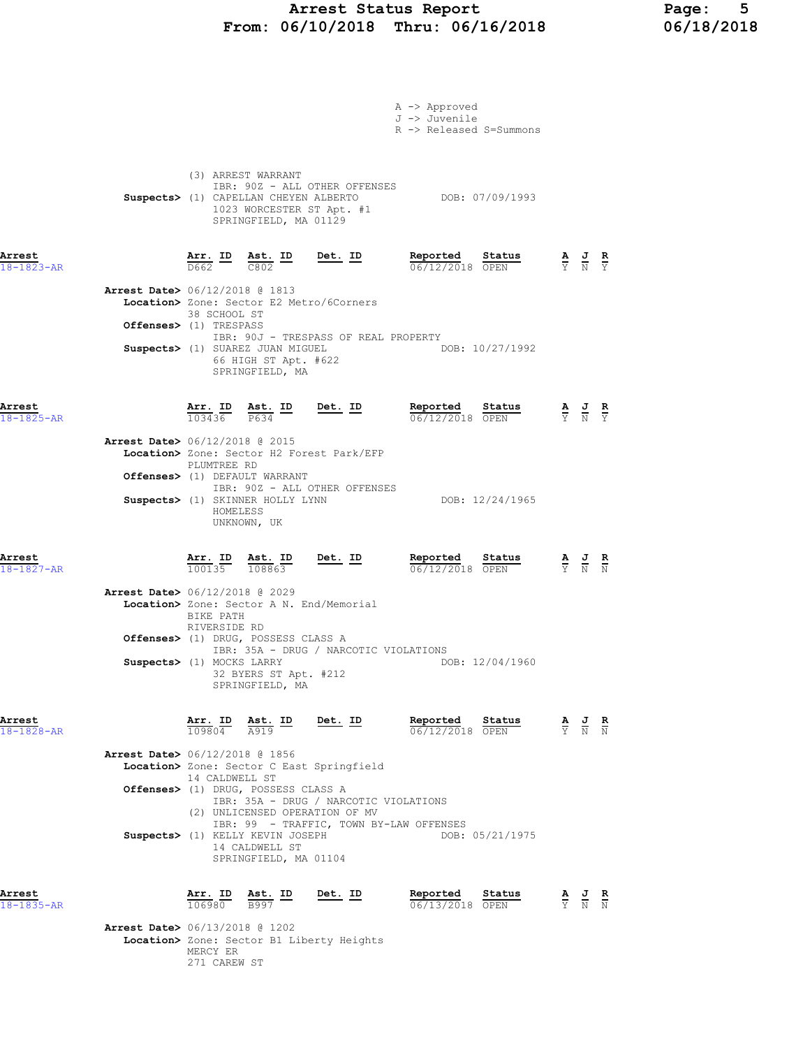### Arrest Status Report Page: 5 From: 06/10/2018 Thru: 06/16/2018 06/18/2018

|                                          |                                                                                                                             |                                                    |                                                                                  | A -> Approved                            |                                                                       |                                                                                                 |  |
|------------------------------------------|-----------------------------------------------------------------------------------------------------------------------------|----------------------------------------------------|----------------------------------------------------------------------------------|------------------------------------------|-----------------------------------------------------------------------|-------------------------------------------------------------------------------------------------|--|
|                                          |                                                                                                                             |                                                    |                                                                                  | J -> Juvenile<br>R -> Released S=Summons |                                                                       |                                                                                                 |  |
|                                          | (3) ARREST WARRANT                                                                                                          | 1023 WORCESTER ST Apt. #1<br>SPRINGFIELD, MA 01129 | IBR: 90Z - ALL OTHER OFFENSES<br>Suspects> (1) CAPELLAN CHEYEN ALBERTO           |                                          | DOB: 07/09/1993                                                       |                                                                                                 |  |
| Arrest<br>$18 - 1823 - AR$               | $\frac{\texttt{Arr.}}{\texttt{D662}}$ ID $\frac{\texttt{ Ast.}}{\texttt{C802}}$ ID Det. ID                                  |                                                    |                                                                                  | Reported Status<br>$06/12/2018$ OPEN     |                                                                       | $\frac{\mathbf{A}}{\mathbf{Y}}$ $\frac{\mathbf{J}}{\mathbf{N}}$ $\frac{\mathbf{R}}{\mathbf{Y}}$ |  |
| <b>Arrest Date&gt;</b> 06/12/2018 @ 1813 | Location> Zone: Sector E2 Metro/6Corners<br>38 SCHOOL ST                                                                    |                                                    |                                                                                  |                                          |                                                                       |                                                                                                 |  |
|                                          | Offenses> (1) TRESPASS<br>Suspects> (1) SUAREZ JUAN MIGUEL                                                                  | 66 HIGH ST Apt. #622<br>SPRINGFIELD, MA            | IBR: 90J - TRESPASS OF REAL PROPERTY                                             | DOB: 10/27/1992                          |                                                                       |                                                                                                 |  |
| Arrest<br>$18 - 1825 - AR$               | $\frac{\text{Arr.}}{103436}$ $\frac{\text{B}}{\text{P634}}$ $\frac{\text{Im}}{\text{P634}}$                                 |                                                    | $Det. ID$                                                                        | Reported Status<br>06/12/2018 OPEN       |                                                                       | $\frac{\mathbf{A}}{\mathbf{Y}}$ $\frac{\mathbf{J}}{\mathbf{N}}$ $\frac{\mathbf{R}}{\mathbf{Y}}$ |  |
| <b>Arrest Date&gt;</b> 06/12/2018 @ 2015 | Location> Zone: Sector H2 Forest Park/EFP<br>PLUMTREE RD<br>Offenses> (1) DEFAULT WARRANT                                   |                                                    |                                                                                  |                                          |                                                                       |                                                                                                 |  |
|                                          | Suspects> (1) SKINNER HOLLY LYNN<br>HOMELESS<br>UNKNOWN, UK                                                                 |                                                    | IBR: 90Z - ALL OTHER OFFENSES                                                    |                                          | DOB: 12/24/1965                                                       |                                                                                                 |  |
| Arrest<br>$18 - 1827 - AR$               | <u>Arr. ID Ast. ID Det. ID</u><br>$\overline{100135}$ $\overline{108863}$                                                   |                                                    |                                                                                  | Reported Status<br>06/12/2018 OPEN       |                                                                       | $\frac{\mathbf{A}}{\mathbf{Y}}$ $\frac{\mathbf{J}}{\mathbf{N}}$ $\frac{\mathbf{R}}{\mathbf{N}}$ |  |
| <b>Arrest Date&gt;</b> 06/12/2018 @ 2029 | Location> Zone: Sector A N. End/Memorial<br>BIKE PATH<br>RIVERSIDE RD                                                       |                                                    |                                                                                  |                                          |                                                                       |                                                                                                 |  |
|                                          | Offenses> (1) DRUG, POSSESS CLASS A<br>Suspects> (1) MOCKS LARRY                                                            | 32 BYERS ST Apt. #212<br>SPRINGFIELD, MA           | IBR: 35A - DRUG / NARCOTIC VIOLATIONS                                            |                                          | DOB: 12/04/1960                                                       |                                                                                                 |  |
| Arrest<br>$18 - 1828 - AR$               | Arr. ID Ast. ID<br>$109804$ $A919$                                                                                          |                                                    | Det. ID                                                                          | Reported Status                          | <b>Reported Status A J R</b> $\frac{1}{06}/12/2018$ <b>OPEN W N N</b> |                                                                                                 |  |
| <b>Arrest Date&gt;</b> 06/12/2018 @ 1856 | Location> Zone: Sector C East Springfield<br>14 CALDWELL ST                                                                 |                                                    |                                                                                  |                                          |                                                                       |                                                                                                 |  |
|                                          | Offenses> (1) DRUG, POSSESS CLASS A<br>(2) UNLICENSED OPERATION OF MV<br>Suspects> (1) KELLY KEVIN JOSEPH<br>14 CALDWELL ST | SPRINGFIELD, MA 01104                              | IBR: 35A - DRUG / NARCOTIC VIOLATIONS<br>IBR: 99 - TRAFFIC, TOWN BY-LAW OFFENSES |                                          | DOB: 05/21/1975                                                       |                                                                                                 |  |
| Arrest<br>18-1835-AR                     | Arr. ID Ast. ID<br>106980 B997                                                                                              |                                                    | <u>Det. ID</u>                                                                   | Reported<br>$06/13/2018$ OPEN            | Status                                                                | $\frac{\mathbf{A}}{\mathbf{Y}}$ $\frac{\mathbf{J}}{\mathbf{N}}$ $\frac{\mathbf{R}}{\mathbf{N}}$ |  |
| <b>Arrest Date&gt;</b> 06/13/2018 @ 1202 | Location> Zone: Sector B1 Liberty Heights<br>MERCY ER<br>271 CAREW ST                                                       |                                                    |                                                                                  |                                          |                                                                       |                                                                                                 |  |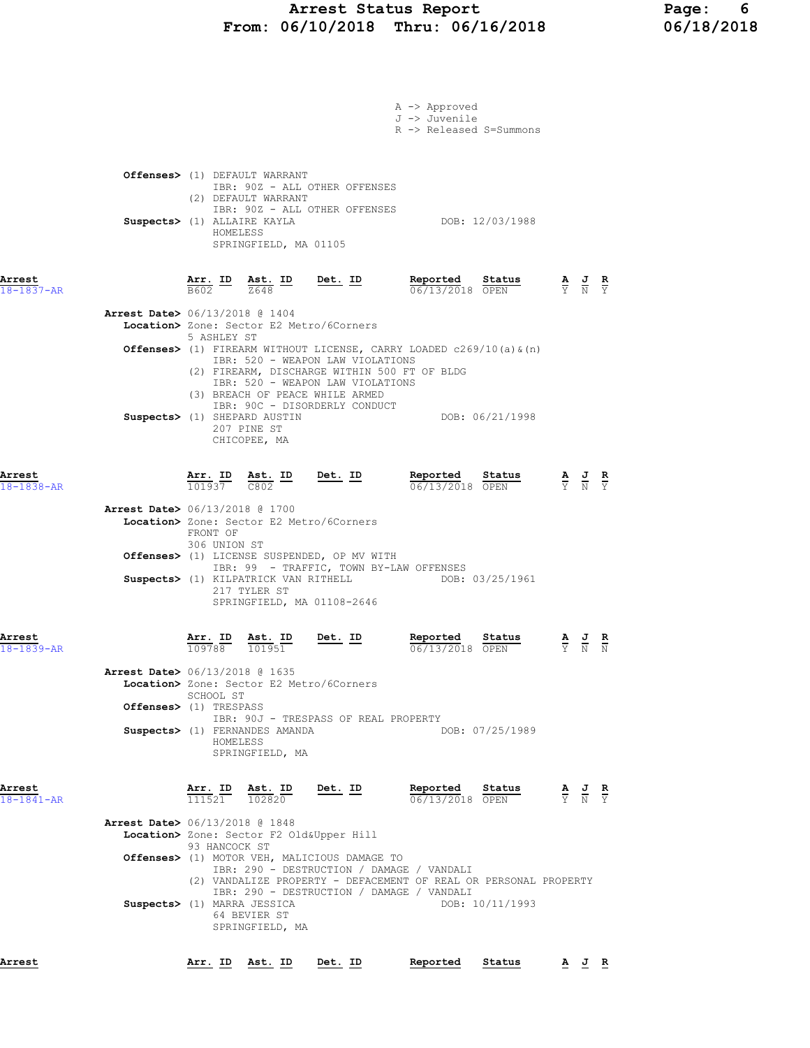# Arrest Status Report 16 Page: 6<br>16/10/2018 Thru: 06/16/2018 16/18/2018 From:  $06/10/2018$  Thru:  $06/16/2018$

|                                                                        |                                                                                                                      |                                                 |                                                                                                                                                                                                                                                                                                                                                  | A -> Approved<br>J -> Juvenile<br>R -> Released S=Summons                                       |                                                                   |                                                                                                 |  |
|------------------------------------------------------------------------|----------------------------------------------------------------------------------------------------------------------|-------------------------------------------------|--------------------------------------------------------------------------------------------------------------------------------------------------------------------------------------------------------------------------------------------------------------------------------------------------------------------------------------------------|-------------------------------------------------------------------------------------------------|-------------------------------------------------------------------|-------------------------------------------------------------------------------------------------|--|
|                                                                        | Offenses> (1) DEFAULT WARRANT<br>(2) DEFAULT WARRANT<br>Suspects> (1) ALLAIRE KAYLA<br>HOMELESS                      | SPRINGFIELD, MA 01105                           | IBR: 90Z - ALL OTHER OFFENSES<br>IBR: 90Z - ALL OTHER OFFENSES                                                                                                                                                                                                                                                                                   |                                                                                                 | DOB: 12/03/1988                                                   |                                                                                                 |  |
| Arrest<br>$18 - 1837 - AR$                                             |                                                                                                                      |                                                 | $\frac{\texttt{Arr. ID}}{\texttt{B602}}$ $\frac{\texttt{Ast. ID}}{\texttt{Z648}}$ $\frac{\texttt{ID}}{\texttt{D602}}$                                                                                                                                                                                                                            | Reported Status                                                                                 | <b>Reported</b> Status A J R<br>$\frac{1}{06}/13/2018$ OPEN Y N Y |                                                                                                 |  |
| <b>Arrest Date&gt;</b> 06/13/2018 @ 1404                               | 5 ASHLEY ST                                                                                                          |                                                 | Location> Zone: Sector E2 Metro/6Corners<br><b>Offenses&gt;</b> (1) FIREARM WITHOUT LICENSE, CARRY LOADED $c269/10$ (a) $\alpha$ (n)<br>IBR: 520 - WEAPON LAW VIOLATIONS<br>(2) FIREARM, DISCHARGE WITHIN 500 FT OF BLDG<br>IBR: 520 - WEAPON LAW VIOLATIONS<br>(3) BREACH OF PEACE WHILE ARMED                                                  |                                                                                                 |                                                                   |                                                                                                 |  |
|                                                                        | Suspects> (1) SHEPARD AUSTIN<br>207 PINE ST                                                                          | CHICOPEE, MA                                    | IBR: 90C - DISORDERLY CONDUCT                                                                                                                                                                                                                                                                                                                    |                                                                                                 | DOB: 06/21/1998                                                   |                                                                                                 |  |
| Arrest<br>18-1838-AR<br><b>Arrest Date&gt;</b> 06/13/2018 @ 1700       | FRONT OF<br>306 UNION ST                                                                                             | 217 TYLER ST                                    | $\frac{\texttt{Arr.}}{101937}$ $\frac{\texttt{ Ast.}}{C802}$ $\frac{\texttt{ID}}{C802}$ $\frac{\texttt{Det.}}{C802}$<br>Location> Zone: Sector E2 Metro/6Corners<br>Offenses> (1) LICENSE SUSPENDED, OP MV WITH<br>IBR: 99 - TRAFFIC, TOWN BY-LAW OFFENSES<br>Suspects> (1) KILPATRICK VAN RITHELL DOB: 03/25/1961<br>SPRINGFIELD, MA 01108-2646 | <b>Reported Status A J R</b> $\frac{1}{0.6}$ /13/2018 OPEN $\frac{1}{Y}$ <b>N</b> $\frac{1}{Y}$ |                                                                   |                                                                                                 |  |
| Arrest<br>18-1839-AR<br>Arrest Date> 06/13/2018 @ 1635                 | $\frac{\texttt{Arr.}}{109788}$<br>SCHOOL ST<br>Offenses> (1) TRESPASS<br>Suspects> (1) FERNANDES AMANDA<br>HOMELESS  | $\frac{\text{Ast.}}{101951}$<br>SPRINGFIELD, MA | <u>Det. ID</u><br>Location> Zone: Sector E2 Metro/6Corners<br>IBR: 90J - TRESPASS OF REAL PROPERTY                                                                                                                                                                                                                                               | Reported<br>06/13/2018 OPEN                                                                     | Status<br>DOB: 07/25/1989                                         | $\frac{\mathbf{A}}{\mathbf{Y}}$ $\frac{\mathbf{J}}{\mathbf{N}}$ $\frac{\mathbf{R}}{\mathbf{N}}$ |  |
| Arrest<br>$18 - 1841 - AR$<br><b>Arrest Date&gt;</b> 06/13/2018 @ 1848 | $\frac{\texttt{Arr. ID}}{111521}$ $\frac{\texttt{ Ast. ID}}{102820}$<br>93 HANCOCK ST<br>Suspects> (1) MARRA JESSICA | 64 BEVIER ST<br>SPRINGFIELD, MA                 | <u>Det. ID</u><br>Location> Zone: Sector F2 Old&Upper Hill<br>Offenses> (1) MOTOR VEH, MALICIOUS DAMAGE TO<br>IBR: 290 - DESTRUCTION / DAMAGE / VANDALI<br>(2) VANDALIZE PROPERTY - DEFACEMENT OF REAL OR PERSONAL PROPERTY<br>IBR: 290 - DESTRUCTION / DAMAGE / VANDALI                                                                         | Reported<br>06/13/2018 OPEN                                                                     | Status<br>DOB: 10/11/1993                                         | $\frac{\mathbf{A}}{\mathbf{Y}}$ $\frac{\mathbf{J}}{\mathbf{N}}$ $\frac{\mathbf{R}}{\mathbf{Y}}$ |  |
| Arrest                                                                 | Arr. ID Ast. ID Det. ID                                                                                              |                                                 |                                                                                                                                                                                                                                                                                                                                                  | Reported                                                                                        | Status                                                            | AJR                                                                                             |  |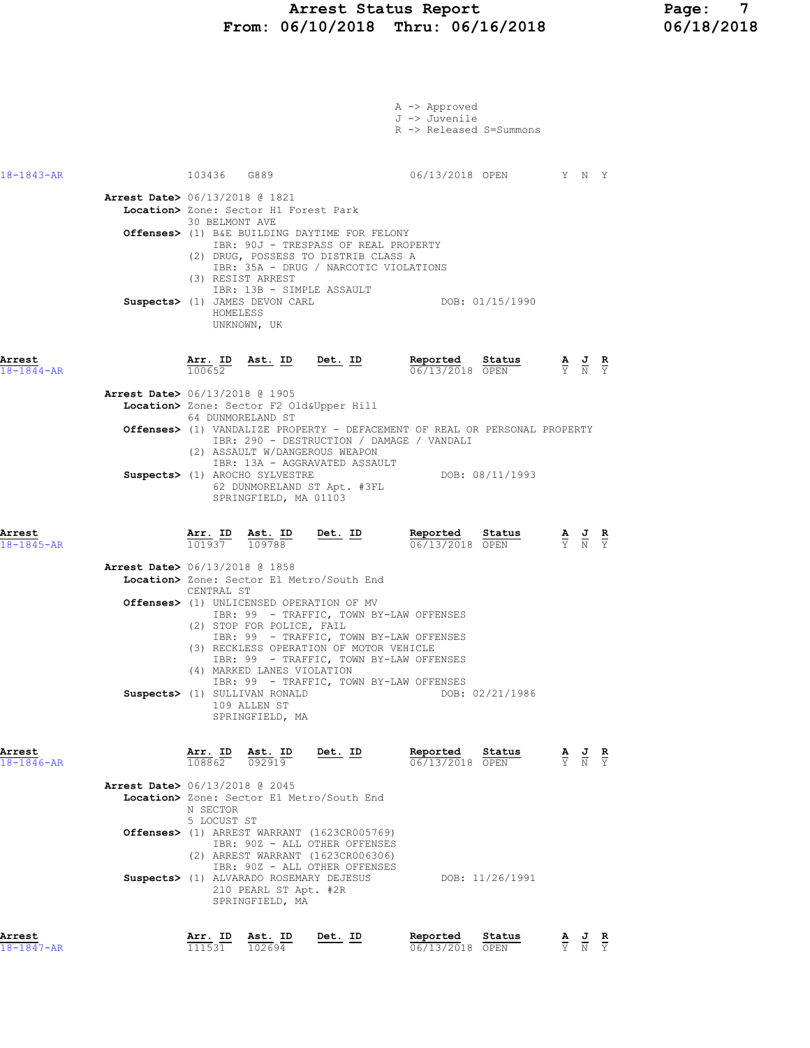#### Arrest Status Report Page: 7 From: 06/10/2018 Thru: 06/16/2018 06/18/2018

| Arrest                     |                                          |                         | Arr. ID Ast. ID                                                                                | Det. ID                                                                                                                                                                  | Reported                                                                   | Status | <u>A J R</u>                                                                                          |               |
|----------------------------|------------------------------------------|-------------------------|------------------------------------------------------------------------------------------------|--------------------------------------------------------------------------------------------------------------------------------------------------------------------------|----------------------------------------------------------------------------|--------|-------------------------------------------------------------------------------------------------------|---------------|
|                            |                                          |                         | 210 PEARL ST Apt. #2R<br>SPRINGFIELD, MA                                                       | (2) ARREST WARRANT (1623CR006306)<br>IBR: 90Z - ALL OTHER OFFENSES<br>Suspects> (1) ALVARADO ROSEMARY DEJESUS                                                            | DOB: 11/26/1991                                                            |        |                                                                                                       |               |
|                            |                                          | N SECTOR<br>5 LOCUST ST |                                                                                                | <b>Offenses&gt;</b> (1) ARREST WARRANT (1623CR005769)<br>IBR: 90Z - ALL OTHER OFFENSES                                                                                   |                                                                            |        |                                                                                                       |               |
|                            | <b>Arrest Date&gt;</b> 06/13/2018 @ 2045 |                         |                                                                                                | Location> Zone: Sector E1 Metro/South End                                                                                                                                |                                                                            |        |                                                                                                       |               |
| Arrest<br>$18 - 1846 - AR$ |                                          | Arr. ID<br>108862       | Ast. ID<br>092919                                                                              | <u>Det. ID</u>                                                                                                                                                           | Reported<br>06/13/2018 OPEN                                                | Status | $\frac{\mathbf{A}}{\mathbf{Y}}$ $\frac{\mathbf{J}}{\mathbf{N}}$                                       | $\frac{R}{Y}$ |
|                            |                                          |                         | (4) MARKED LANES VIOLATION<br>Suspects> (1) SULLIVAN RONALD<br>109 ALLEN ST<br>SPRINGFIELD, MA | IBR: 99 - TRAFFIC, TOWN BY-LAW OFFENSES<br>(3) RECKLESS OPERATION OF MOTOR VEHICLE<br>IBR: 99 - TRAFFIC, TOWN BY-LAW OFFENSES<br>IBR: 99 - TRAFFIC, TOWN BY-LAW OFFENSES | DOB: 02/21/1986                                                            |        |                                                                                                       |               |
|                            |                                          | CENTRAL ST              | (2) STOP FOR POLICE, FAIL                                                                      | <b>Offenses&gt;</b> (1) UNLICENSED OPERATION OF MV<br>IBR: 99 - TRAFFIC, TOWN BY-LAW OFFENSES                                                                            |                                                                            |        |                                                                                                       |               |
| Arrest<br>$18 - 1845 - AR$ | <b>Arrest Date&gt;</b> 06/13/2018 @ 1858 |                         |                                                                                                | $\frac{\texttt{Arr.}}{101937}$ $\frac{\texttt{ Ast.}}{109788}$ Det. ID<br>Location> Zone: Sector E1 Metro/South End                                                      | Reported Status<br>$06/13/2018$ OPEN                                       |        | $\frac{\mathbf{A}}{\overline{Y}}$ $\frac{\mathbf{J}}{\overline{N}}$ $\frac{\mathbf{R}}{\overline{Y}}$ |               |
|                            |                                          |                         | Suspects> (1) AROCHO SYLVESTRE<br>SPRINGFIELD, MA 01103                                        | 62 DUNMORELAND ST Apt. #3FL                                                                                                                                              | DOB: 08/11/1993                                                            |        |                                                                                                       |               |
|                            |                                          |                         |                                                                                                | IBR: 290 - DESTRUCTION / DAMAGE / VANDALI<br>(2) ASSAULT W/DANGEROUS WEAPON<br>IBR: 13A - AGGRAVATED ASSAULT                                                             | Offenses> (1) VANDALIZE PROPERTY - DEFACEMENT OF REAL OR PERSONAL PROPERTY |        |                                                                                                       |               |
|                            | <b>Arrest Date&gt;</b> 06/13/2018 @ 1905 |                         | 64 DUNMORELAND ST                                                                              | Location> Zone: Sector F2 Old&Upper Hill                                                                                                                                 |                                                                            |        |                                                                                                       |               |
| Arrest<br>$18 - 1844 - AR$ |                                          | 100652                  |                                                                                                | $\frac{\text{Arr.}}{100652}$ Bst. ID Det. ID                                                                                                                             | Reported Status<br>06/13/2018 OPEN                                         |        | $\frac{\mathbf{A}}{\mathbf{Y}}$ $\frac{\mathbf{J}}{\mathbf{N}}$ $\frac{\mathbf{R}}{\mathbf{Y}}$       |               |
|                            |                                          | HOMELESS                | Suspects> (1) JAMES DEVON CARL<br>UNKNOWN, UK                                                  | IBR: 13B - SIMPLE ASSAULT                                                                                                                                                | DOB: 01/15/1990                                                            |        |                                                                                                       |               |
|                            |                                          |                         | (3) RESIST ARREST                                                                              | IBR: 90J - TRESPASS OF REAL PROPERTY<br>(2) DRUG, POSSESS TO DISTRIB CLASS A<br>IBR: 35A - DRUG / NARCOTIC VIOLATIONS                                                    |                                                                            |        |                                                                                                       |               |
|                            | <b>Arrest Date&gt;</b> 06/13/2018 @ 1821 | 30 BELMONT AVE          | Location> Zone: Sector H1 Forest Park                                                          | <b>Offenses&gt;</b> (1) B&E BUILDING DAYTIME FOR FELONY                                                                                                                  |                                                                            |        |                                                                                                       |               |
| $18 - 1843 - AR$           |                                          |                         | 103436 G889                                                                                    |                                                                                                                                                                          | 06/13/2018 OPEN Y N Y                                                      |        |                                                                                                       |               |
|                            |                                          |                         |                                                                                                |                                                                                                                                                                          | A -> Approved<br>J -> Juvenile<br>R -> Released S=Summons                  |        |                                                                                                       |               |
|                            |                                          |                         |                                                                                                |                                                                                                                                                                          |                                                                            |        |                                                                                                       |               |

18-1847-AR 111531 102694 06/13/2018 OPEN Y N Y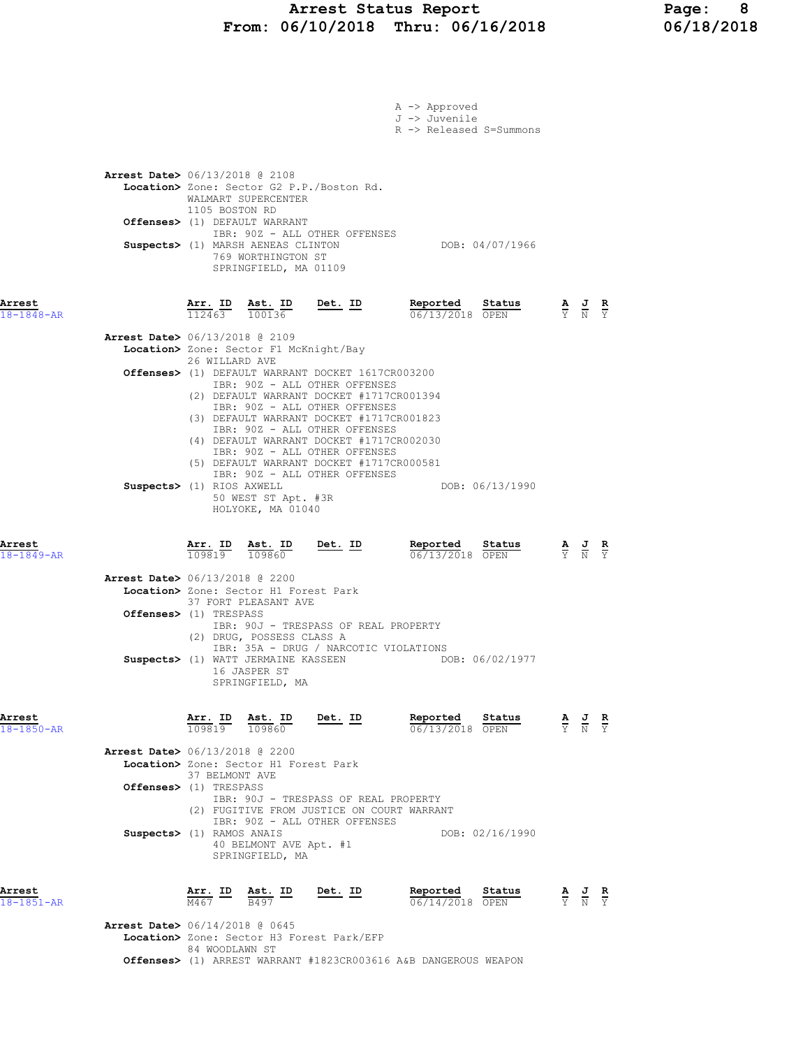### Arrest Status Report Page: 8 From: 06/10/2018 Thru: 06/16/2018 06/18/2018

|                      |                                          |                                                           |                                                                      |                                                                                    | A -> Approved                                                                        |                 |                                                                                                 |  |
|----------------------|------------------------------------------|-----------------------------------------------------------|----------------------------------------------------------------------|------------------------------------------------------------------------------------|--------------------------------------------------------------------------------------|-----------------|-------------------------------------------------------------------------------------------------|--|
|                      |                                          |                                                           |                                                                      |                                                                                    | J -> Juvenile<br>R -> Released S=Summons                                             |                 |                                                                                                 |  |
|                      |                                          |                                                           |                                                                      |                                                                                    |                                                                                      |                 |                                                                                                 |  |
|                      | <b>Arrest Date&gt;</b> 06/13/2018 @ 2108 |                                                           |                                                                      |                                                                                    |                                                                                      |                 |                                                                                                 |  |
|                      |                                          |                                                           |                                                                      | Location> Zone: Sector G2 P.P./Boston Rd.                                          |                                                                                      |                 |                                                                                                 |  |
|                      |                                          | 1105 BOSTON RD                                            | WALMART SUPERCENTER                                                  |                                                                                    |                                                                                      |                 |                                                                                                 |  |
|                      |                                          |                                                           | Offenses> (1) DEFAULT WARRANT                                        |                                                                                    |                                                                                      |                 |                                                                                                 |  |
|                      |                                          |                                                           | Suspects> (1) MARSH AENEAS CLINTON                                   | IBR: 90Z - ALL OTHER OFFENSES                                                      | DOB: 04/07/1966                                                                      |                 |                                                                                                 |  |
|                      |                                          |                                                           | 769 WORTHINGTON ST<br>SPRINGFIELD, MA 01109                          |                                                                                    |                                                                                      |                 |                                                                                                 |  |
|                      |                                          |                                                           |                                                                      |                                                                                    |                                                                                      |                 |                                                                                                 |  |
| Arrest               |                                          |                                                           |                                                                      |                                                                                    | <b>Arr. ID</b> Ast. ID Det. ID Reported<br>112463 100136 Det. ID $\frac{0.67}{0.67}$ | Status          | $\frac{\mathbf{A}}{\mathbf{Y}}$ $\frac{\mathbf{J}}{\mathbf{N}}$ $\frac{\mathbf{R}}{\mathbf{Y}}$ |  |
| $18 - 1848 - AR$     |                                          |                                                           |                                                                      |                                                                                    | 06/13/2018 OPEN                                                                      |                 |                                                                                                 |  |
|                      | <b>Arrest Date&gt;</b> 06/13/2018 @ 2109 |                                                           |                                                                      |                                                                                    |                                                                                      |                 |                                                                                                 |  |
|                      |                                          | 26 WILLARD AVE                                            | Location> Zone: Sector F1 McKnight/Bay                               |                                                                                    |                                                                                      |                 |                                                                                                 |  |
|                      |                                          |                                                           |                                                                      | Offenses> (1) DEFAULT WARRANT DOCKET 1617CR003200<br>IBR: 90Z - ALL OTHER OFFENSES |                                                                                      |                 |                                                                                                 |  |
|                      |                                          |                                                           |                                                                      | (2) DEFAULT WARRANT DOCKET #1717CR001394                                           |                                                                                      |                 |                                                                                                 |  |
|                      |                                          |                                                           |                                                                      | IBR: 90Z - ALL OTHER OFFENSES<br>(3) DEFAULT WARRANT DOCKET #1717CR001823          |                                                                                      |                 |                                                                                                 |  |
|                      |                                          |                                                           |                                                                      | IBR: 90Z - ALL OTHER OFFENSES<br>(4) DEFAULT WARRANT DOCKET #1717CR002030          |                                                                                      |                 |                                                                                                 |  |
|                      |                                          |                                                           |                                                                      | IBR: 90Z - ALL OTHER OFFENSES<br>(5) DEFAULT WARRANT DOCKET #1717CR000581          |                                                                                      |                 |                                                                                                 |  |
|                      |                                          |                                                           |                                                                      | IBR: 90Z - ALL OTHER OFFENSES                                                      |                                                                                      |                 |                                                                                                 |  |
|                      | Suspects> (1) RIOS AXWELL                |                                                           | 50 WEST ST Apt. #3R                                                  |                                                                                    |                                                                                      | DOB: 06/13/1990 |                                                                                                 |  |
|                      |                                          |                                                           | HOLYOKE, MA 01040                                                    |                                                                                    |                                                                                      |                 |                                                                                                 |  |
|                      |                                          |                                                           |                                                                      |                                                                                    |                                                                                      |                 |                                                                                                 |  |
| Arrest<br>18-1849-AR |                                          |                                                           | $\frac{\texttt{Arr. ID}}{109819}$ $\frac{\texttt{ Ast. ID}}{109860}$ | <u>Det. ID</u>                                                                     | Reported<br>06/13/2018 OPEN                                                          | Status          | $\frac{\mathbf{A}}{\mathbf{Y}}$ $\frac{\mathbf{J}}{\mathbf{N}}$ $\frac{\mathbf{R}}{\mathbf{Y}}$ |  |
|                      | <b>Arrest Date&gt;</b> 06/13/2018 @ 2200 |                                                           |                                                                      |                                                                                    |                                                                                      |                 |                                                                                                 |  |
|                      |                                          |                                                           | Location> Zone: Sector H1 Forest Park<br>37 FORT PLEASANT AVE        |                                                                                    |                                                                                      |                 |                                                                                                 |  |
|                      | <b>Offenses&gt;</b> (1) TRESPASS         |                                                           |                                                                      |                                                                                    |                                                                                      |                 |                                                                                                 |  |
|                      |                                          |                                                           | (2) DRUG, POSSESS CLASS A                                            | IBR: 90J - TRESPASS OF REAL PROPERTY                                               |                                                                                      |                 |                                                                                                 |  |
|                      |                                          |                                                           |                                                                      | IBR: 35A - DRUG / NARCOTIC VIOLATIONS<br>Suspects> (1) WATT JERMAINE KASSEEN       |                                                                                      | DOB: 06/02/1977 |                                                                                                 |  |
|                      |                                          |                                                           | 16 JASPER ST                                                         |                                                                                    |                                                                                      |                 |                                                                                                 |  |
|                      |                                          |                                                           | SPRINGFIELD, MA                                                      |                                                                                    |                                                                                      |                 |                                                                                                 |  |
| Arrest               |                                          |                                                           |                                                                      | $Det$ . ID                                                                         | Reported                                                                             | Status          |                                                                                                 |  |
| 18-1850-AR           |                                          | $\frac{\text{Arr.}}{109819}$ $\frac{\text{Ast.}}{109860}$ |                                                                      |                                                                                    | 06/13/2018 OPEN                                                                      |                 | $\frac{\mathbf{A}}{\mathbf{Y}}$ $\frac{\mathbf{J}}{\mathbf{N}}$ $\frac{\mathbf{R}}{\mathbf{Y}}$ |  |
|                      | <b>Arrest Date&gt;</b> 06/13/2018 @ 2200 |                                                           |                                                                      |                                                                                    |                                                                                      |                 |                                                                                                 |  |
|                      |                                          | 37 BELMONT AVE                                            | Location> Zone: Sector H1 Forest Park                                |                                                                                    |                                                                                      |                 |                                                                                                 |  |
|                      | Offenses> (1) TRESPASS                   |                                                           |                                                                      |                                                                                    |                                                                                      |                 |                                                                                                 |  |
|                      |                                          |                                                           |                                                                      | IBR: 90J - TRESPASS OF REAL PROPERTY<br>(2) FUGITIVE FROM JUSTICE ON COURT WARRANT |                                                                                      |                 |                                                                                                 |  |
|                      | Suspects> (1) RAMOS ANAIS                |                                                           |                                                                      | IBR: 90Z - ALL OTHER OFFENSES                                                      |                                                                                      | DOB: 02/16/1990 |                                                                                                 |  |
|                      |                                          |                                                           | 40 BELMONT AVE Apt. #1<br>SPRINGFIELD, MA                            |                                                                                    |                                                                                      |                 |                                                                                                 |  |
|                      |                                          |                                                           |                                                                      |                                                                                    |                                                                                      |                 |                                                                                                 |  |
| Arrest               |                                          | Arr. ID                                                   | Ast. ID                                                              | Det. ID                                                                            | Reported                                                                             | Status          | $\frac{\mathbf{A}}{\mathbf{Y}}$ $\frac{\mathbf{J}}{\mathbf{N}}$ $\frac{\mathbf{R}}{\mathbf{Y}}$ |  |
| $18 - 1851 - AR$     |                                          | M467                                                      | B497                                                                 |                                                                                    | $06/14/2018$ OPEN                                                                    |                 |                                                                                                 |  |
|                      | <b>Arrest Date&gt;</b> 06/14/2018 @ 0645 |                                                           |                                                                      |                                                                                    |                                                                                      |                 |                                                                                                 |  |
|                      |                                          | 84 WOODLAWN ST                                            |                                                                      | Location> Zone: Sector H3 Forest Park/EFP                                          |                                                                                      |                 |                                                                                                 |  |
|                      |                                          |                                                           |                                                                      |                                                                                    | <b>Offenses&gt;</b> (1) ARREST WARRANT #1823CR003616 A&B DANGEROUS WEAPON            |                 |                                                                                                 |  |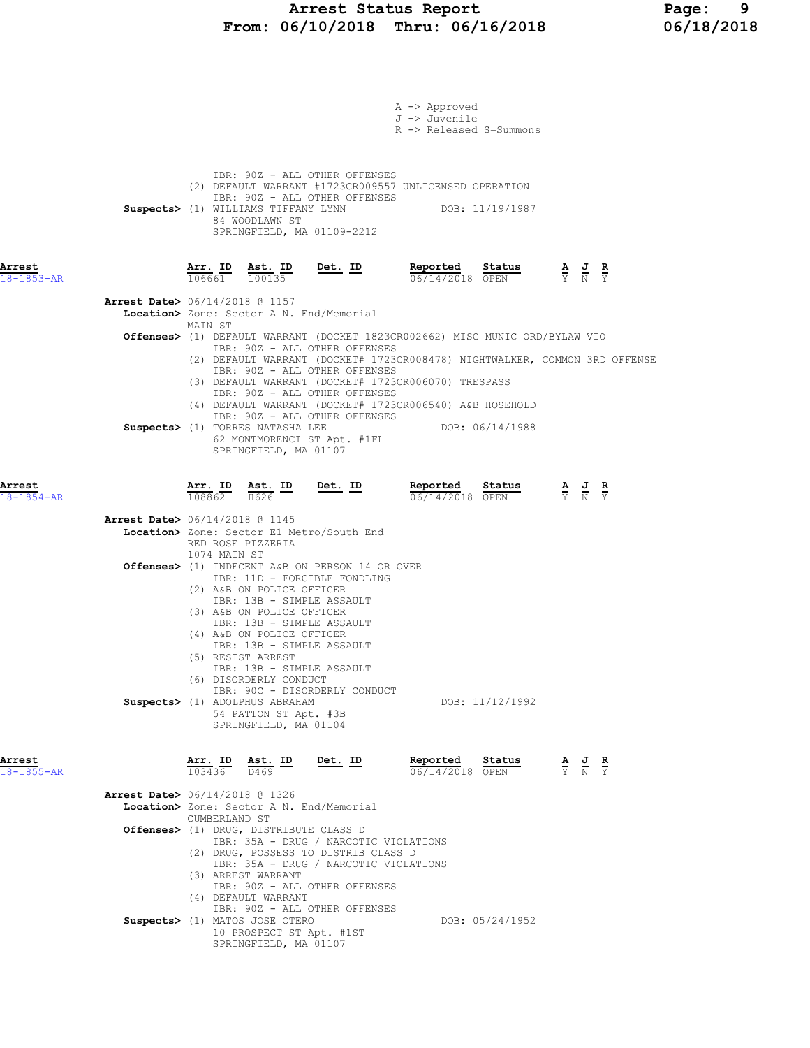# Arrest Status Report Page: 9<br>16/10/2018 Thru: 06/16/2018 06/18/2018 From:  $06/10/2018$  Thru:  $06/16/2018$

|                            | A -> Approved<br>J -> Juvenile<br>R -> Released S=Summons                                                                                                                                                                                                                                       |
|----------------------------|-------------------------------------------------------------------------------------------------------------------------------------------------------------------------------------------------------------------------------------------------------------------------------------------------|
|                            | IBR: 90Z - ALL OTHER OFFENSES<br>(2) DEFAULT WARRANT #1723CR009557 UNLICENSED OPERATION<br>IBR: 90Z - ALL OTHER OFFENSES<br>Suspects> (1) WILLIAMS TIFFANY LYNN DOB: 11/19/1987<br>84 WOODLAWN ST<br>SPRINGFIELD, MA 01109-2212                                                                 |
| Arrest<br>$18 - 1853 - AR$ | Reported Status<br><u>Arr. ID Ast. ID</u><br><u>Det.</u> ID<br>$\frac{\mathbf{A}}{\overline{Y}}$ $\frac{\mathbf{J}}{\overline{N}}$ $\frac{\mathbf{R}}{\overline{Y}}$<br>$106661$ $100135$<br>06/14/2018 OPEN                                                                                    |
|                            | <b>Arrest Date&gt;</b> 06/14/2018 @ 1157<br>Location> Zone: Sector A N. End/Memorial                                                                                                                                                                                                            |
|                            | MAIN ST<br>Offenses> (1) DEFAULT WARRANT (DOCKET 1823CR002662) MISC MUNIC ORD/BYLAW VIO<br>IBR: 90Z - ALL OTHER OFFENSES                                                                                                                                                                        |
|                            | (2) DEFAULT WARRANT (DOCKET# 1723CR008478) NIGHTWALKER, COMMON 3RD OFFENSE<br>IBR: 90Z - ALL OTHER OFFENSES<br>(3) DEFAULT WARRANT (DOCKET# 1723CR006070) TRESPASS<br>IBR: 90Z - ALL OTHER OFFENSES<br>(4) DEFAULT WARRANT (DOCKET# 1723CR006540) A&B HOSEHOLD<br>IBR: 90Z - ALL OTHER OFFENSES |
|                            | Suspects> (1) TORRES NATASHA LEE<br>DOB: 06/14/1988<br>62 MONTMORENCI ST Apt. #1FL<br>SPRINGFIELD, MA 01107                                                                                                                                                                                     |
| Arrest<br>$18 - 1854 - AR$ | $\frac{\texttt{Arr.}}{108862}$ $\frac{\texttt{Ab.}}{1626}$ $\frac{\texttt{ID}}{1088}$<br>Reported Status<br><u>Det. ID</u><br><b>Reported Status</b> $\frac{A}{Y}$ <b>J R</b><br>$\frac{B}{Y}$ $\frac{S}{N}$ <b>PEN</b><br>$\overline{108862}$ $\overline{H}626$                                |
|                            | <b>Arrest Date&gt;</b> 06/14/2018 @ 1145<br>Location> Zone: Sector E1 Metro/South End<br>RED ROSE PIZZERIA<br>1074 MAIN ST                                                                                                                                                                      |
|                            | Offenses> (1) INDECENT A&B ON PERSON 14 OR OVER<br>IBR: 11D - FORCIBLE FONDLING<br>(2) A&B ON POLICE OFFICER<br>IBR: 13B - SIMPLE ASSAULT<br>(3) A&B ON POLICE OFFICER<br>IBR: 13B - SIMPLE ASSAULT<br>(4) A&B ON POLICE OFFICER                                                                |
|                            | IBR: 13B - SIMPLE ASSAULT<br>(5) RESIST ARREST<br>IBR: 13B - SIMPLE ASSAULT<br>(6) DISORDERLY CONDUCT<br>IBR: 90C - DISORDERLY CONDUCT<br>Suspects> (1) ADOLPHUS ABRAHAM<br>DOB: 11/12/1992                                                                                                     |
| Arrest<br>$18 - 1855 - AR$ | 54 PATTON ST Apt. #3B<br>SPRINGFIELD, MA 01104<br>Reported<br>Arr. ID Ast. ID<br>Det. ID<br>Sta <u>tus</u><br>$\frac{\mathbf{A}}{\overline{Y}}$ $\frac{\mathbf{J}}{\overline{N}}$ $\frac{\mathbf{R}}{\overline{Y}}$<br>103436 D469<br>06/14/2018 OPEN                                           |
|                            | Arrest Date> 06/14/2018 @ 1326<br>Location> Zone: Sector A N. End/Memorial                                                                                                                                                                                                                      |
|                            | CUMBERLAND ST<br>Offenses> (1) DRUG, DISTRIBUTE CLASS D<br>IBR: 35A - DRUG / NARCOTIC VIOLATIONS<br>(2) DRUG, POSSESS TO DISTRIB CLASS D<br>IBR: 35A - DRUG / NARCOTIC VIOLATIONS                                                                                                               |
|                            | (3) ARREST WARRANT<br>IBR: 90Z - ALL OTHER OFFENSES<br>(4) DEFAULT WARRANT<br>IBR: 90Z - ALL OTHER OFFENSES<br>Suspects> (1) MATOS JOSE OTERO<br>DOB: 05/24/1952<br>10 PROSPECT ST Apt. #1ST<br>SPRINGFIELD, MA 01107                                                                           |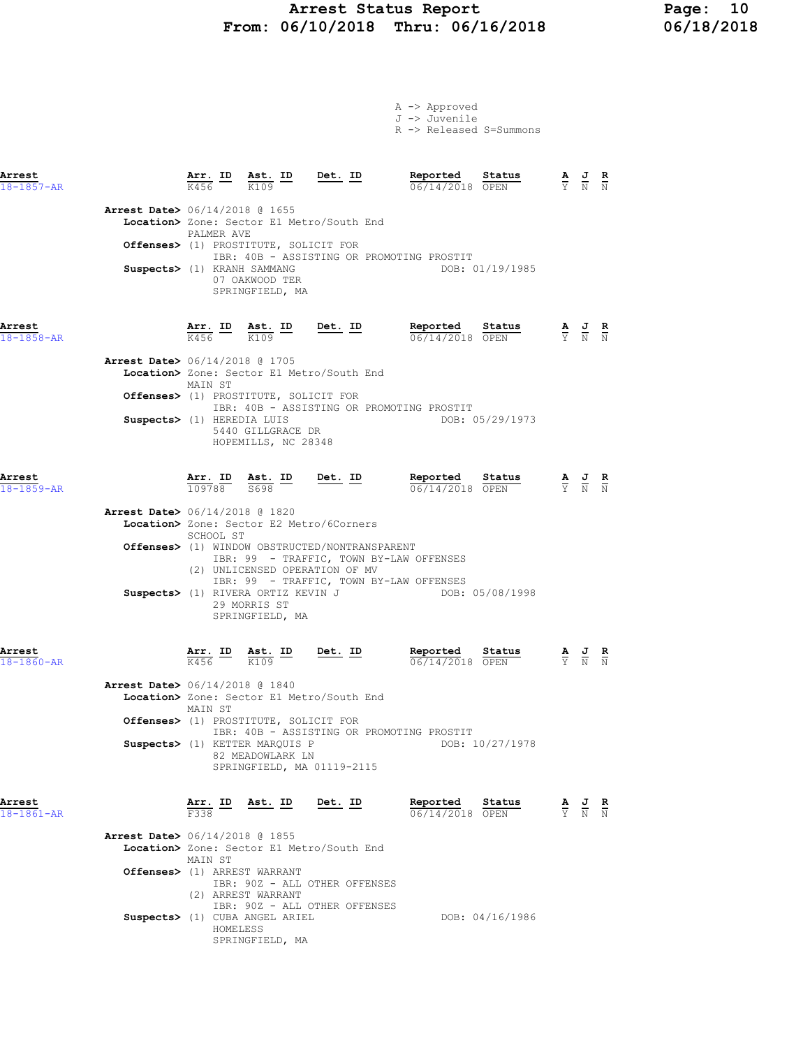### Arrest Status Report Page: 10 From: 06/10/2018 Thru: 06/16/2018 06/18/2018

|                                                                          |                                      |                                                                                |                                                                                                                                                                         | A -> Approved<br>J -> Juvenile<br>R -> Released S=Summons |                                                                                                 |
|--------------------------------------------------------------------------|--------------------------------------|--------------------------------------------------------------------------------|-------------------------------------------------------------------------------------------------------------------------------------------------------------------------|-----------------------------------------------------------|-------------------------------------------------------------------------------------------------|
| Arrest<br>$18 - 1857 - AR$                                               |                                      |                                                                                | $\frac{\texttt{Arr.}}{\text{K456}}$ $\frac{\texttt{ID}}{\text{K109}}$ $\frac{\texttt{Ast.}}{\texttt{m}}$ $\frac{\texttt{Det.}}{\texttt{m}}$                             | Reported Status<br>06/14/2018 OPEN                        | $\frac{\mathbf{A}}{\mathbf{Y}}$ $\frac{\mathbf{J}}{\mathbf{N}}$ $\frac{\mathbf{R}}{\mathbf{N}}$ |
| <b>Arrest Date&gt;</b> 06/14/2018 @ 1655                                 | PALMER AVE                           | Offenses> (1) PROSTITUTE, SOLICIT FOR                                          | Location> Zone: Sector E1 Metro/South End                                                                                                                               |                                                           |                                                                                                 |
| Suspects> (1) KRANH SAMMANG                                              |                                      | 07 OAKWOOD TER<br>SPRINGFIELD, MA                                              | IBR: 40B - ASSISTING OR PROMOTING PROSTIT                                                                                                                               | DOB: 01/19/1985                                           |                                                                                                 |
| Arrest<br>$18 - 1858 - AR$                                               |                                      | $\frac{\texttt{Arr.}}{\text{K456}}$ ID $\frac{\texttt{ Ast.}}{\text{K109}}$ ID | $Det. ID$                                                                                                                                                               | Reported Status<br>06/14/2018 OPEN                        | $\frac{\mathbf{A}}{\mathbf{Y}}$ $\frac{\mathbf{J}}{\mathbf{N}}$ $\frac{\mathbf{R}}{\mathbf{N}}$ |
| <b>Arrest Date&gt;</b> 06/14/2018 @ 1705                                 | MAIN ST                              | Offenses> (1) PROSTITUTE, SOLICIT FOR                                          | Location> Zone: Sector E1 Metro/South End<br>IBR: 40B - ASSISTING OR PROMOTING PROSTIT                                                                                  |                                                           |                                                                                                 |
| Suspects> (1) HEREDIA LUIS                                               |                                      | 5440 GILLGRACE DR<br>HOPEMILLS, NC 28348                                       |                                                                                                                                                                         | DOB: 05/29/1973                                           |                                                                                                 |
| Arrest<br>$18 - 1859 - AR$                                               |                                      |                                                                                | $\frac{\texttt{Arr.}}{109788}$ $\frac{\texttt{Ab.}}{5698}$ $\frac{\texttt{ID}}{209788}$ $\frac{\texttt{Det.}}{109788}$                                                  | Reported Status<br>06/14/2018 OPEN                        | $\frac{\mathbf{A}}{\mathbf{Y}}$ $\frac{\mathbf{J}}{\mathbf{N}}$ $\frac{\mathbf{R}}{\mathbf{N}}$ |
| <b>Arrest Date&gt;</b> 06/14/2018 @ 1820                                 | SCHOOL ST                            |                                                                                | Location> Zone: Sector E2 Metro/6Corners<br>Offenses> (1) WINDOW OBSTRUCTED/NONTRANSPARENT<br>IBR: 99 - TRAFFIC, TOWN BY-LAW OFFENSES<br>(2) UNLICENSED OPERATION OF MV |                                                           |                                                                                                 |
|                                                                          |                                      | 29 MORRIS ST<br>SPRINGFIELD, MA                                                | IBR: 99 - TRAFFIC, TOWN BY-LAW OFFENSES<br>Suspects> (1) RIVERA ORTIZ KEVIN J                                                                                           | DOB: 05/08/1998                                           |                                                                                                 |
| Arrest<br>$18 - 1860 - AR$                                               | $\frac{\text{Arr.}}{\text{K456}}$ ID | Ast. ID<br>K109                                                                | $Det$ . ID                                                                                                                                                              | Reported<br>Status<br>06/14/2018 OPEN                     | $\frac{\mathbf{A}}{\mathbf{Y}}$ $\frac{\mathbf{J}}{\mathbf{N}}$ $\frac{\mathbf{R}}{\mathbf{N}}$ |
| Arrest Date> 06/14/2018 @ 1840                                           | MAIN ST                              | Offenses> (1) PROSTITUTE, SOLICIT FOR                                          | Location> Zone: Sector E1 Metro/South End                                                                                                                               |                                                           |                                                                                                 |
|                                                                          |                                      | Suspects> (1) KETTER MARQUIS P<br>82 MEADOWLARK LN                             | IBR: 40B - ASSISTING OR PROMOTING PROSTIT<br>SPRINGFIELD, MA 01119-2115                                                                                                 | DOB: 10/27/1978                                           |                                                                                                 |
| Arrest<br>18-1861-AR                                                     | Arr. ID<br>F338                      | Ast. ID                                                                        | <u>Det.</u> ID                                                                                                                                                          | Reported<br>Status<br>06/14/2018 OPEN                     | $\frac{\mathbf{A}}{\mathbf{Y}}$ $\frac{\mathbf{J}}{\mathbf{N}}$ $\frac{\mathbf{R}}{\mathbf{N}}$ |
| <b>Arrest Date&gt;</b> 06/14/2018 @ 1855<br>Offenses> (1) ARREST WARRANT | MAIN ST                              |                                                                                | Location> Zone: Sector E1 Metro/South End                                                                                                                               |                                                           |                                                                                                 |
|                                                                          | HOMELESS                             | (2) ARREST WARRANT<br>Suspects> (1) CUBA ANGEL ARIEL                           | IBR: 90Z - ALL OTHER OFFENSES<br>IBR: 90Z - ALL OTHER OFFENSES                                                                                                          | DOB: 04/16/1986                                           |                                                                                                 |

SPRINGFIELD, MA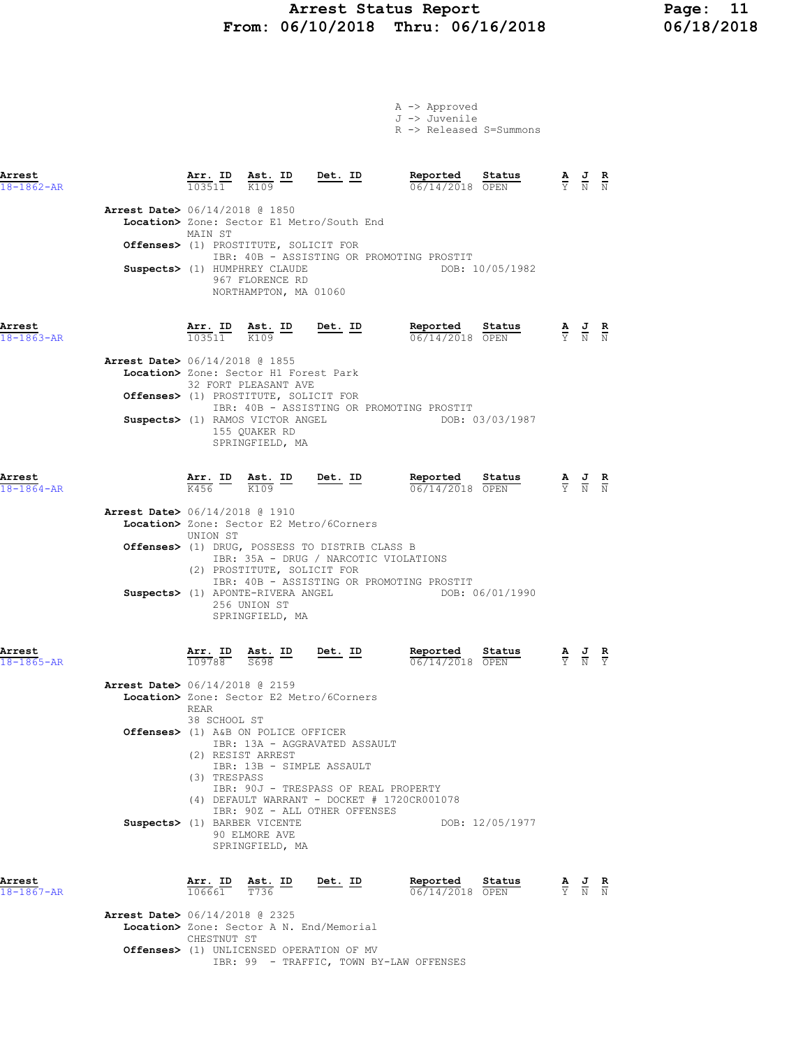## Arrest Status Report 11<br>16/10/2018 Thru: 06/16/2018 16/18/2018 From: 06/10/2018 Thru: 06/16/2018

|                            |                                          |                                |                                                                           |                                                                                                                       | A -> Approved<br>J -> Juvenile<br>R -> Released S=Summons   |                 |                                                                                                 |                                                                                                 |                        |
|----------------------------|------------------------------------------|--------------------------------|---------------------------------------------------------------------------|-----------------------------------------------------------------------------------------------------------------------|-------------------------------------------------------------|-----------------|-------------------------------------------------------------------------------------------------|-------------------------------------------------------------------------------------------------|------------------------|
| Arrest<br>$18 - 1862 - AR$ |                                          |                                |                                                                           | $\frac{\texttt{Arr.}}{103511}$ $\frac{\texttt{ Ast.}}{K109}$ $\frac{\texttt{ID}}{20351}$ $\frac{\texttt{Det.}}{K109}$ | Reported Status $\frac{0.6}{1.4}$ Status                    | Status          |                                                                                                 | $\frac{\mathbf{A}}{\mathbf{Y}}$ $\frac{\mathbf{J}}{\mathbf{N}}$ $\frac{\mathbf{R}}{\mathbf{N}}$ |                        |
|                            | <b>Arrest Date&gt;</b> 06/14/2018 @ 1850 | MAIN ST                        |                                                                           | Location> Zone: Sector E1 Metro/South End                                                                             |                                                             |                 |                                                                                                 |                                                                                                 |                        |
|                            |                                          |                                | Offenses> (1) PROSTITUTE, SOLICIT FOR                                     |                                                                                                                       | IBR: 40B - ASSISTING OR PROMOTING PROSTIT                   |                 |                                                                                                 |                                                                                                 |                        |
|                            |                                          |                                | Suspects> (1) HUMPHREY CLAUDE<br>967 FLORENCE RD<br>NORTHAMPTON, MA 01060 |                                                                                                                       |                                                             | DOB: 10/05/1982 |                                                                                                 |                                                                                                 |                        |
| Arrest<br>18-1863-AR       |                                          |                                |                                                                           | $\frac{\texttt{Arr. ID}}{103511}$ $\frac{\texttt{ Ast. ID}}{K109}$ Det. ID                                            | Reported Status<br>06/14/2018 OPEN                          |                 | $\frac{\mathbf{A}}{\mathrm{Y}}$ $\frac{\mathbf{J}}{\mathrm{N}}$ $\frac{\mathbf{R}}{\mathrm{N}}$ |                                                                                                 |                        |
|                            | <b>Arrest Date&gt;</b> 06/14/2018 @ 1855 |                                | Location> Zone: Sector H1 Forest Park<br>32 FORT PLEASANT AVE             |                                                                                                                       |                                                             |                 |                                                                                                 |                                                                                                 |                        |
|                            |                                          |                                | <b>Offenses&gt;</b> (1) PROSTITUTE, SOLICIT FOR                           |                                                                                                                       | IBR: 40B - ASSISTING OR PROMOTING PROSTIT                   |                 |                                                                                                 |                                                                                                 |                        |
|                            |                                          |                                | Suspects> (1) RAMOS VICTOR ANGEL<br>155 QUAKER RD<br>SPRINGFIELD, MA      |                                                                                                                       |                                                             | DOB: 03/03/1987 |                                                                                                 |                                                                                                 |                        |
| Arrest<br>$18 - 1864 - AR$ |                                          |                                |                                                                           | $\frac{\texttt{Arr.}}{\text{K456}}$ ID $\frac{\texttt{Ast.}}{\text{K109}}$ ID Det. ID                                 | Reported Status<br>$\frac{0.06}{0.06}$ $\frac{0.07}{0.000}$ | Status          |                                                                                                 | $\frac{\mathbf{A}}{\mathbf{Y}}$ $\frac{\mathbf{J}}{\mathbf{N}}$ $\frac{\mathbf{R}}{\mathbf{N}}$ |                        |
|                            | <b>Arrest Date&gt;</b> 06/14/2018 @ 1910 | UNION ST                       |                                                                           | Location> Zone: Sector E2 Metro/6Corners                                                                              |                                                             |                 |                                                                                                 |                                                                                                 |                        |
|                            |                                          |                                | (2) PROSTITUTE, SOLICIT FOR                                               | Offenses> (1) DRUG, POSSESS TO DISTRIB CLASS B<br>IBR: 35A - DRUG / NARCOTIC VIOLATIONS                               |                                                             |                 |                                                                                                 |                                                                                                 |                        |
|                            |                                          |                                | Suspects> (1) APONTE-RIVERA ANGEL<br>256 UNION ST<br>SPRINGFIELD, MA      |                                                                                                                       | IBR: 40B - ASSISTING OR PROMOTING PROSTIT                   | DOB: 06/01/1990 |                                                                                                 |                                                                                                 |                        |
| Arrest<br>18-1865-AR       |                                          | $\frac{\texttt{Arr.}}{109788}$ | $\frac{\text{Ast.}}{\text{S698}}$ ID                                      | $Det$ . ID                                                                                                            | Reported<br>06/14/2018 OPEN                                 | Status          |                                                                                                 | $\frac{\mathbf{A}}{\mathbf{Y}}$ $\frac{\mathbf{J}}{\mathbf{N}}$ $\frac{\mathbf{R}}{\mathbf{Y}}$ |                        |
|                            | <b>Arrest Date&gt;</b> 06/14/2018 @ 2159 |                                |                                                                           | Location> Zone: Sector E2 Metro/6Corners                                                                              |                                                             |                 |                                                                                                 |                                                                                                 |                        |
|                            |                                          | REAR<br>38 SCHOOL ST           | Offenses> (1) A&B ON POLICE OFFICER                                       | IBR: 13A - AGGRAVATED ASSAULT                                                                                         |                                                             |                 |                                                                                                 |                                                                                                 |                        |
|                            |                                          | (3) TRESPASS                   | (2) RESIST ARREST<br>IBR: 13B - SIMPLE ASSAULT                            | IBR: 90J - TRESPASS OF REAL PROPERTY                                                                                  |                                                             |                 |                                                                                                 |                                                                                                 |                        |
|                            |                                          |                                |                                                                           | IBR: 90Z - ALL OTHER OFFENSES                                                                                         | (4) DEFAULT WARRANT - DOCKET # 1720CR001078                 |                 |                                                                                                 |                                                                                                 |                        |
|                            |                                          |                                | Suspects> (1) BARBER VICENTE<br>90 ELMORE AVE<br>SPRINGFIELD, MA          |                                                                                                                       |                                                             | DOB: 12/05/1977 |                                                                                                 |                                                                                                 |                        |
| Arrest<br>18-1867-AR       |                                          | Arr. ID<br>106661              | Ast. ID<br>T736                                                           | Det. ID                                                                                                               | Reported<br>06/14/2018 OPEN                                 | Status          | $rac{\mathbf{A}}{\mathbf{Y}}$                                                                   | $\frac{J}{N}$                                                                                   | $\frac{\mathbf{R}}{N}$ |
|                            | <b>Arrest Date&gt;</b> 06/14/2018 @ 2325 | CHESTNUT ST                    |                                                                           | Location> Zone: Sector A N. End/Memorial                                                                              |                                                             |                 |                                                                                                 |                                                                                                 |                        |

IBR: 99 - TRAFFIC, TOWN BY-LAW OFFENSES

Offenses> (1) UNLICENSED OPERATION OF MV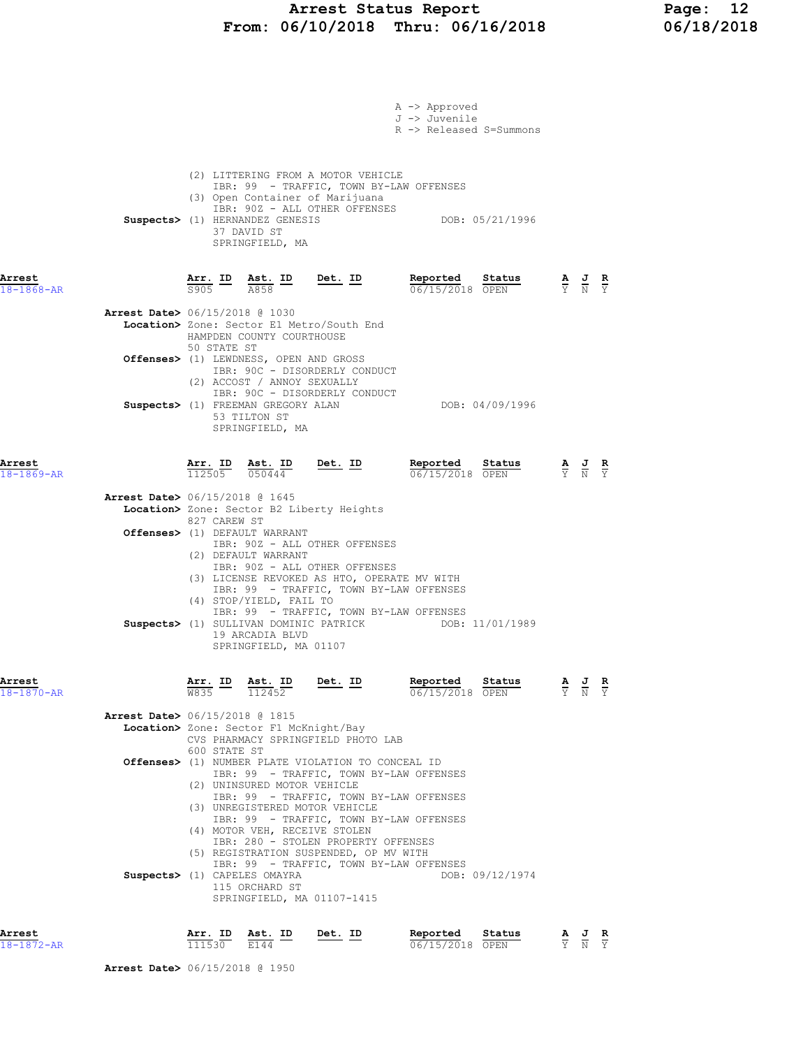### Arrest Status Report Page: 12 From: 06/10/2018 Thru: 06/16/2018 06/18/2018

|                            |                                          |              |                                                                       |                                                                                                                                                  | $A \rightarrow$ Approved<br>J -> Juvenile<br>R -> Released S=Summons                                                          |                 |                                                                                                 |  |
|----------------------------|------------------------------------------|--------------|-----------------------------------------------------------------------|--------------------------------------------------------------------------------------------------------------------------------------------------|-------------------------------------------------------------------------------------------------------------------------------|-----------------|-------------------------------------------------------------------------------------------------|--|
|                            |                                          |              | Suspects> (1) HERNANDEZ GENESIS<br>37 DAVID ST<br>SPRINGFIELD, MA     | (2) LITTERING FROM A MOTOR VEHICLE<br>(3) Open Container of Marijuana<br>IBR: 90Z - ALL OTHER OFFENSES                                           | IBR: 99 - TRAFFIC, TOWN BY-LAW OFFENSES                                                                                       | DOB: 05/21/1996 |                                                                                                 |  |
| Arrest<br>$18 - 1868 - AR$ |                                          | 5905         | <u>Arr. ID Ast. ID</u><br>A858                                        | Det. ID                                                                                                                                          | Reported Status<br>06/15/2018 OPEN                                                                                            |                 | $\frac{\mathbf{A}}{\mathbf{Y}}$ $\frac{\mathbf{J}}{\mathbf{N}}$ $\frac{\mathbf{R}}{\mathbf{Y}}$ |  |
|                            | <b>Arrest Date&gt;</b> 06/15/2018 @ 1030 |              | HAMPDEN COUNTY COURTHOUSE                                             | Location> Zone: Sector E1 Metro/South End                                                                                                        |                                                                                                                               |                 |                                                                                                 |  |
|                            |                                          | 50 STATE ST  | Offenses> (1) LEWDNESS, OPEN AND GROSS<br>(2) ACCOST / ANNOY SEXUALLY | IBR: 90C - DISORDERLY CONDUCT                                                                                                                    |                                                                                                                               |                 |                                                                                                 |  |
|                            |                                          |              | Suspects> (1) FREEMAN GREGORY ALAN<br>53 TILTON ST<br>SPRINGFIELD, MA | IBR: 90C - DISORDERLY CONDUCT                                                                                                                    | DOB: 04/09/1996                                                                                                               |                 |                                                                                                 |  |
| Arrest<br>$18 - 1869 - AR$ |                                          |              | $\overline{112505}$ $\overline{050444}$                               | $\frac{\text{Arr. ID}}{\text{max}}$ $\frac{\text{Rst. ID}}{\text{max}}$ $\frac{\text{Det. ID}}{\text{max}}$                                      | Reported Status<br>06/15/2018 OPEN                                                                                            |                 | $\frac{\mathbf{A}}{\mathbf{Y}}$ $\frac{\mathbf{J}}{\mathbf{N}}$ $\frac{\mathbf{R}}{\mathbf{Y}}$ |  |
|                            | <b>Arrest Date&gt;</b> 06/15/2018 @ 1645 |              |                                                                       | Location> Zone: Sector B2 Liberty Heights                                                                                                        |                                                                                                                               |                 |                                                                                                 |  |
|                            |                                          | 827 CAREW ST | Offenses> (1) DEFAULT WARRANT<br>(2) DEFAULT WARRANT                  | IBR: 90Z - ALL OTHER OFFENSES                                                                                                                    |                                                                                                                               |                 |                                                                                                 |  |
|                            |                                          |              | (4) STOP/YIELD, FAIL TO<br>19 ARCADIA BLVD<br>SPRINGFIELD, MA 01107   | IBR: 90Z - ALL OTHER OFFENSES<br>(3) LICENSE REVOKED AS HTO, OPERATE MV WITH<br>Suspects> (1) SULLIVAN DOMINIC PATRICK                           | IBR: 99 - TRAFFIC, TOWN BY-LAW OFFENSES<br>IBR: 99 - TRAFFIC, TOWN BY-LAW OFFENSES                                            | DOB: 11/01/1989 |                                                                                                 |  |
| Arrest<br>$18 - 1870 - AR$ |                                          |              |                                                                       | $\frac{\texttt{Arr.}}{\texttt{W835}}$ ID $\frac{\texttt{ Ast.}}{112452}$ Det. ID                                                                 | Reported<br>06/15/2018 OPEN                                                                                                   | Status          | $\frac{\mathbf{A}}{\mathbf{Y}}$ $\frac{\mathbf{J}}{\mathbf{N}}$ $\frac{\mathbf{R}}{\mathbf{Y}}$ |  |
|                            | <b>Arrest Date&gt;</b> 06/15/2018 @ 1815 |              | Location> Zone: Sector F1 McKnight/Bay                                |                                                                                                                                                  |                                                                                                                               |                 |                                                                                                 |  |
|                            |                                          | 600 STATE ST |                                                                       | CVS PHARMACY SPRINGFIELD PHOTO LAB<br>Offenses> (1) NUMBER PLATE VIOLATION TO CONCEAL ID                                                         | IBR: 99 - TRAFFIC, TOWN BY-LAW OFFENSES                                                                                       |                 |                                                                                                 |  |
|                            |                                          |              | (2) UNINSURED MOTOR VEHICLE                                           | (3) UNREGISTERED MOTOR VEHICLE<br>(4) MOTOR VEH, RECEIVE STOLEN<br>IBR: 280 - STOLEN PROPERTY OFFENSES<br>(5) REGISTRATION SUSPENDED, OP MV WITH | IBR: 99 - TRAFFIC, TOWN BY-LAW OFFENSES<br>IBR: 99 - TRAFFIC, TOWN BY-LAW OFFENSES<br>IBR: 99 - TRAFFIC, TOWN BY-LAW OFFENSES |                 |                                                                                                 |  |
|                            |                                          |              | Suspects> (1) CAPELES OMAYRA<br>115 ORCHARD ST                        | SPRINGFIELD, MA 01107-1415                                                                                                                       |                                                                                                                               | DOB: 09/12/1974 |                                                                                                 |  |
| Arrest                     |                                          |              | Arr. ID Ast. ID Det. ID                                               |                                                                                                                                                  | Reported                                                                                                                      | Status          | AJR                                                                                             |  |

| Arrest           | ΙD<br>Arr | ID.<br>Ast  | ID<br>Det. | Reported            | Status |  | R |
|------------------|-----------|-------------|------------|---------------------|--------|--|---|
| $18 - 1872 - AR$ | 111530    | <b>E144</b> |            | 15/2018 OPEN<br>06/ |        |  |   |

Arrest Date> 06/15/2018 @ 1950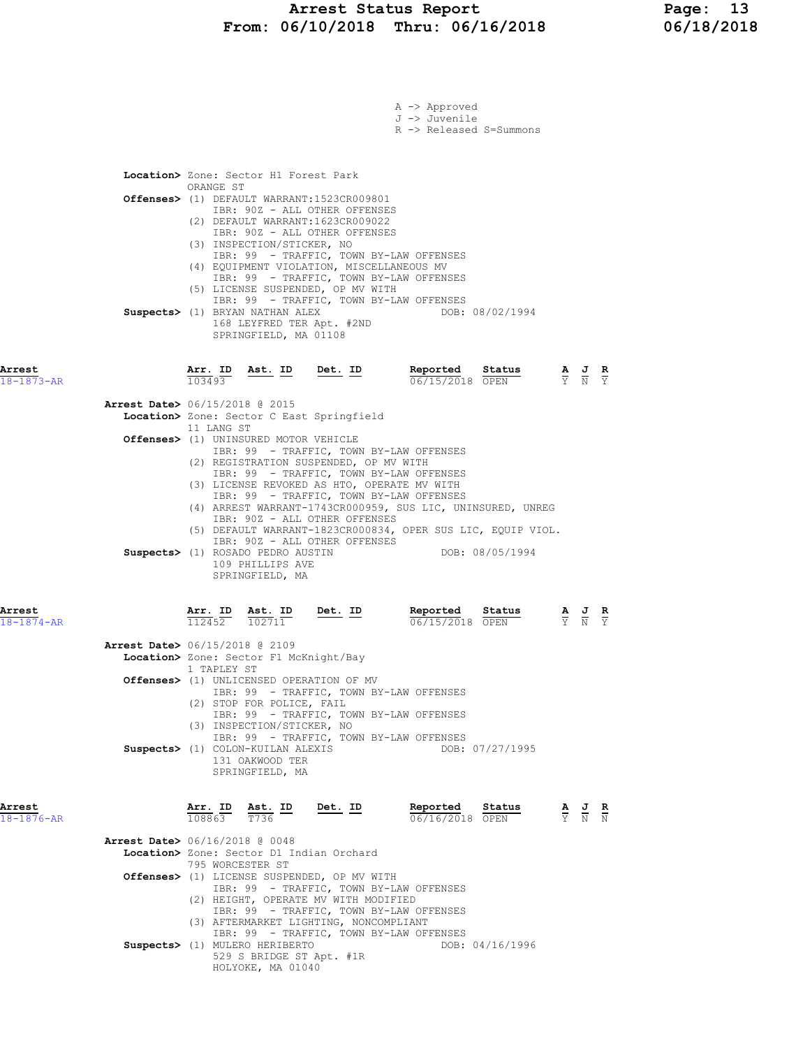|                            |                                                                                                                                                                                                                                                                                                                                                                   | A -> Approved<br>J -> Juvenile<br>R -> Released S=Summons                                                                                |
|----------------------------|-------------------------------------------------------------------------------------------------------------------------------------------------------------------------------------------------------------------------------------------------------------------------------------------------------------------------------------------------------------------|------------------------------------------------------------------------------------------------------------------------------------------|
|                            | Location> Zone: Sector H1 Forest Park<br>ORANGE ST                                                                                                                                                                                                                                                                                                                |                                                                                                                                          |
|                            | Offenses> (1) DEFAULT WARRANT:1523CR009801<br>IBR: 90Z - ALL OTHER OFFENSES<br>(2) DEFAULT WARRANT: 1623CR009022<br>IBR: 90Z - ALL OTHER OFFENSES<br>(3) INSPECTION/STICKER, NO<br>IBR: 99 - TRAFFIC, TOWN BY-LAW OFFENSES<br>(4) EQUIPMENT VIOLATION, MISCELLANEOUS MV<br>IBR: 99 - TRAFFIC, TOWN BY-LAW OFFENSES<br>(5) LICENSE SUSPENDED, OP MV WITH           |                                                                                                                                          |
|                            | IBR: 99 - TRAFFIC, TOWN BY-LAW OFFENSES<br>Suspects> (1) BRYAN NATHAN ALEX<br>168 LEYFRED TER Apt. #2ND<br>SPRINGFIELD, MA 01108                                                                                                                                                                                                                                  | DOB: 08/02/1994                                                                                                                          |
| Arrest<br>18-1873-AR       | <u>Ast. ID Det. ID</u><br>$\frac{\text{Arr.}}{103493}$                                                                                                                                                                                                                                                                                                            | Reported<br>Status<br>$\frac{\mathbf{A}}{\mathbf{Y}}$ $\frac{\mathbf{J}}{\mathbf{N}}$ $\frac{\mathbf{R}}{\mathbf{Y}}$<br>06/15/2018 OPEN |
|                            | <b>Arrest Date&gt;</b> 06/15/2018 @ 2015<br>Location> Zone: Sector C East Springfield<br>11 LANG ST                                                                                                                                                                                                                                                               |                                                                                                                                          |
|                            | Offenses> (1) UNINSURED MOTOR VEHICLE<br>IBR: 99 - TRAFFIC, TOWN BY-LAW OFFENSES<br>(2) REGISTRATION SUSPENDED, OP MV WITH<br>IBR: 99 - TRAFFIC, TOWN BY-LAW OFFENSES                                                                                                                                                                                             |                                                                                                                                          |
|                            | (3) LICENSE REVOKED AS HTO, OPERATE MV WITH<br>IBR: 99 - TRAFFIC, TOWN BY-LAW OFFENSES<br>(4) ARREST WARRANT-1743CR000959, SUS LIC, UNINSURED, UNREG<br>IBR: 90Z - ALL OTHER OFFENSES<br>(5) DEFAULT WARRANT-1823CR000834, OPER SUS LIC, EQUIP VIOL.<br>IBR: 90Z - ALL OTHER OFFENSES<br>Suspects> (1) ROSADO PEDRO AUSTIN<br>109 PHILLIPS AVE<br>SPRINGFIELD, MA | DOB: 08/05/1994                                                                                                                          |
| Arrest<br>$18 - 1874 - AR$ | Arr. ID Ast. ID<br>Det. ID<br>112452<br>102711                                                                                                                                                                                                                                                                                                                    | Reported Status<br>$\frac{\mathbf{A}}{\mathbf{Y}}$ $\frac{\mathbf{J}}{\mathbf{N}}$ $\frac{\mathbf{R}}{\mathbf{Y}}$<br>06/15/2018 OPEN    |
|                            | <b>Arrest Date&gt;</b> 06/15/2018 @ 2109<br>Location> Zone: Sector F1 McKnight/Bay<br>1 TAPLEY ST<br><b>Offenses&gt;</b> (1) UNLICENSED OPERATION OF MV<br>IBR: 99 - TRAFFIC, TOWN BY-LAW OFFENSES<br>(2) STOP FOR POLICE, FAIL                                                                                                                                   |                                                                                                                                          |
|                            | IBR: 99 - TRAFFIC, TOWN BY-LAW OFFENSES<br>(3) INSPECTION/STICKER, NO<br>IBR: 99 - TRAFFIC, TOWN BY-LAW OFFENSES<br>Suspects> (1) COLON-KUILAN ALEXIS<br>131 OAKWOOD TER<br>SPRINGFIELD, MA                                                                                                                                                                       | DOB: 07/27/1995                                                                                                                          |
| Arrest<br>$18 - 1876 - AR$ | $\frac{\texttt{Arr.}}{108863}$ $\frac{\texttt{ Ast.}}{T736}$ $\frac{\texttt{ID}}{T}$<br>Det. ID                                                                                                                                                                                                                                                                   | Reported<br>Status<br>$\frac{\mathbf{A}}{\mathbf{Y}}$ $\frac{\mathbf{J}}{\mathbf{N}}$ $\frac{\mathbf{R}}{\mathbf{N}}$<br>06/16/2018 OPEN |
|                            | <b>Arrest Date&gt;</b> 06/16/2018 @ 0048<br>Location> Zone: Sector D1 Indian Orchard<br>795 WORCESTER ST                                                                                                                                                                                                                                                          |                                                                                                                                          |
|                            | Offenses> (1) LICENSE SUSPENDED, OP MV WITH<br>IBR: 99 - TRAFFIC, TOWN BY-LAW OFFENSES<br>(2) HEIGHT, OPERATE MV WITH MODIFIED<br>IBR: 99 - TRAFFIC, TOWN BY-LAW OFFENSES<br>(3) AFTERMARKET LIGHTING, NONCOMPLIANT                                                                                                                                               |                                                                                                                                          |
|                            | IBR: 99 - TRAFFIC, TOWN BY-LAW OFFENSES<br>Suspects> (1) MULERO HERIBERTO<br>529 S BRIDGE ST Apt. #1R<br>HOLYOKE, MA 01040                                                                                                                                                                                                                                        | DOB: 04/16/1996                                                                                                                          |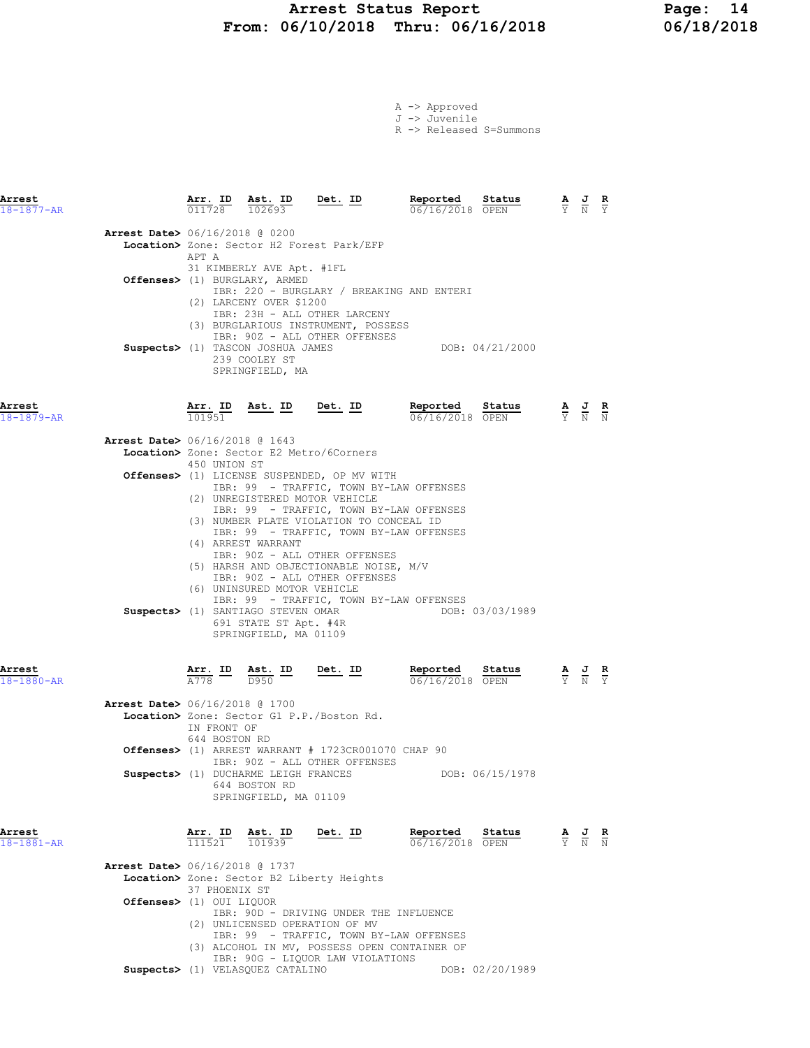### Arrest Status Report Page: 14 From: 06/10/2018 Thru: 06/16/2018 06/18/2018

|  | A -> Approved |                         |
|--|---------------|-------------------------|
|  | J -> Juvenile |                         |
|  |               | R -> Released S=Summons |

| Arrest<br>$18 - 1877 - AR$ |                                                            |                                     | $\frac{\texttt{Arr.}}{011728}$ $\frac{\texttt{ Ast.}}{102693}$                                      | $Det. ID$                                                                                                                                                                                                                                                                                                        | Reported<br>06/16/2018 OPEN               | $\frac{\text{Status}}{\text{OPEN}}$ $\frac{\text{A}}{\text{Y}}$ $\frac{\text{J}}{\text{N}}$ |                                                                                                 |                                                                                                 | $\frac{R}{Y}$ |
|----------------------------|------------------------------------------------------------|-------------------------------------|-----------------------------------------------------------------------------------------------------|------------------------------------------------------------------------------------------------------------------------------------------------------------------------------------------------------------------------------------------------------------------------------------------------------------------|-------------------------------------------|---------------------------------------------------------------------------------------------|-------------------------------------------------------------------------------------------------|-------------------------------------------------------------------------------------------------|---------------|
|                            | Arrest Date> 06/16/2018 @ 0200                             | APT A                               |                                                                                                     | Location> Zone: Sector H2 Forest Park/EFP                                                                                                                                                                                                                                                                        |                                           |                                                                                             |                                                                                                 |                                                                                                 |               |
|                            |                                                            |                                     | 31 KIMBERLY AVE Apt. #1FL<br>Offenses> (1) BURGLARY, ARMED<br>(2) LARCENY OVER \$1200               |                                                                                                                                                                                                                                                                                                                  | IBR: 220 - BURGLARY / BREAKING AND ENTERI |                                                                                             |                                                                                                 |                                                                                                 |               |
|                            |                                                            |                                     | Suspects> (1) TASCON JOSHUA JAMES<br>239 COOLEY ST<br>SPRINGFIELD, MA                               | IBR: 23H - ALL OTHER LARCENY<br>(3) BURGLARIOUS INSTRUMENT, POSSESS<br>IBR: 90Z - ALL OTHER OFFENSES                                                                                                                                                                                                             |                                           | DOB: 04/21/2000                                                                             |                                                                                                 |                                                                                                 |               |
| Arrest<br>$18 - 1879 - AR$ |                                                            | Arr. ID<br>101951                   |                                                                                                     | Ast. ID Det. ID                                                                                                                                                                                                                                                                                                  | Reported<br>06/16/2018 OPEN               | Status                                                                                      | $\frac{\mathbf{A}}{\mathbf{Y}}$ $\frac{\mathbf{J}}{\mathbf{N}}$ $\frac{\mathbf{R}}{\mathbf{N}}$ |                                                                                                 |               |
|                            | Arrest Date> 06/16/2018 @ 1643                             | 450 UNION ST                        |                                                                                                     | <b>Location&gt;</b> Zone: Sector E2 Metro/6Corners<br>Offenses> (1) LICENSE SUSPENDED, OP MV WITH<br>IBR: 99 - TRAFFIC, TOWN BY-LAW OFFENSES<br>(2) UNREGISTERED MOTOR VEHICLE<br>IBR: 99 - TRAFFIC, TOWN BY-LAW OFFENSES<br>(3) NUMBER PLATE VIOLATION TO CONCEAL ID<br>IBR: 99 - TRAFFIC, TOWN BY-LAW OFFENSES |                                           |                                                                                             |                                                                                                 |                                                                                                 |               |
|                            |                                                            |                                     | (4) ARREST WARRANT<br>(6) UNINSURED MOTOR VEHICLE<br>691 STATE ST Apt. #4R<br>SPRINGFIELD, MA 01109 | IBR: 90Z - ALL OTHER OFFENSES<br>(5) HARSH AND OBJECTIONABLE NOISE, M/V<br>IBR: 90Z - ALL OTHER OFFENSES<br>Suspects> (1) SANTIAGO STEVEN OMAR                                                                                                                                                                   | IBR: 99 - TRAFFIC, TOWN BY-LAW OFFENSES   | DOB: 03/03/1989                                                                             |                                                                                                 |                                                                                                 |               |
| Arrest<br>$18 - 1880 - AR$ |                                                            | <u>Arr. ID</u><br>$\overline{A778}$ | Ast. ID<br>D950                                                                                     | Det. ID                                                                                                                                                                                                                                                                                                          | Reported<br>06/16/2018 OPEN               | Status                                                                                      |                                                                                                 | $\frac{\mathbf{A}}{\mathbf{Y}}$ $\frac{\mathbf{J}}{\mathbf{N}}$                                 |               |
|                            | <b>Arrest Date&gt;</b> 06/16/2018 @ 1700                   | IN FRONT OF                         |                                                                                                     | Location> Zone: Sector G1 P.P./Boston Rd.                                                                                                                                                                                                                                                                        |                                           |                                                                                             |                                                                                                 |                                                                                                 |               |
|                            |                                                            | 644 BOSTON RD                       |                                                                                                     | <b>Offenses&gt;</b> (1) ARREST WARRANT $# 1723CR001070 CHAP 90$<br>IBR: 90Z - ALL OTHER OFFENSES                                                                                                                                                                                                                 |                                           |                                                                                             |                                                                                                 |                                                                                                 |               |
|                            |                                                            |                                     | Suspects> (1) DUCHARME LEIGH FRANCES<br>644 BOSTON RD<br>SPRINGFIELD, MA 01109                      |                                                                                                                                                                                                                                                                                                                  |                                           | DOB: 06/15/1978                                                                             |                                                                                                 |                                                                                                 |               |
| Arrest<br>18-1881-AR       |                                                            |                                     | $\frac{\texttt{Arr.}}{111521}$ $\frac{\texttt{ Ast.}}{101939}$                                      | Det. ID                                                                                                                                                                                                                                                                                                          | Reported<br>06/16/2018 OPEN               | Status                                                                                      |                                                                                                 | $\frac{\mathbf{A}}{\mathbf{Y}}$ $\frac{\mathbf{J}}{\mathbf{N}}$ $\frac{\mathbf{R}}{\mathbf{N}}$ |               |
|                            | Arrest Date> 06/16/2018 @ 1737<br>Offenses> (1) OUI LIQUOR | 37 PHOENIX ST                       |                                                                                                     | Location> Zone: Sector B2 Liberty Heights                                                                                                                                                                                                                                                                        |                                           |                                                                                             |                                                                                                 |                                                                                                 |               |
|                            |                                                            |                                     |                                                                                                     | IBR: 90D - DRIVING UNDER THE INFLUENCE<br>(2) UNLICENSED OPERATION OF MV<br>IBR: 99 - TRAFFIC, TOWN BY-LAW OFFENSES<br>(3) ALCOHOL IN MV, POSSESS OPEN CONTAINER OF                                                                                                                                              |                                           |                                                                                             |                                                                                                 |                                                                                                 |               |

IBR: 90G - LIQUOR LAW VIOLATIONS

Suspects> (1) VELASQUEZ CATALINO DOB: 02/20/1989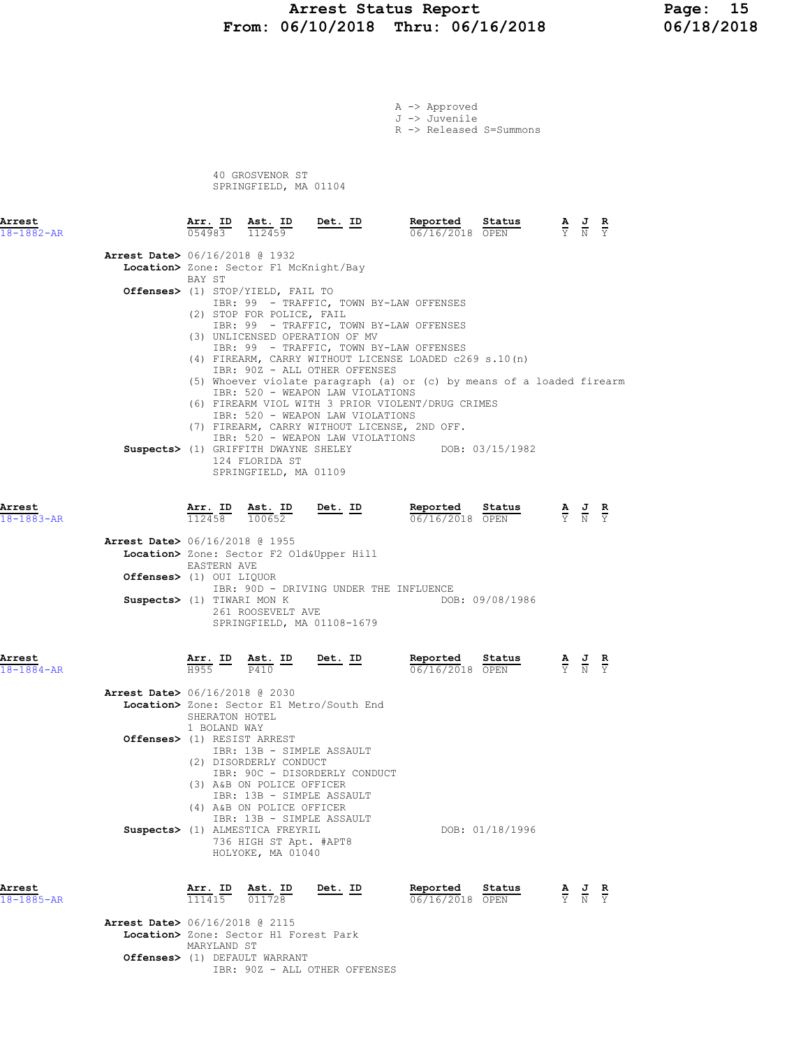#### Arrest Status Report Page: 15 From: 06/10/2018 Thru: 06/16/2018 06/18/2018

A -> Approved J -> Juvenile R -> Released S=Summons 40 GROSVENOR ST SPRINGFIELD, MA 01104 Arrest Arr. ID Ast. ID Det. ID Reported Status A J R 18-1882-AR 054983 112459 06/16/2018 OPEN Y N Y Arrest Date> 06/16/2018 @ 1932 Location> Zone: Sector F1 McKnight/Bay BAY ST Offenses> (1) STOP/YIELD, FAIL TO IBR: 99 - TRAFFIC, TOWN BY-LAW OFFENSES (2) STOP FOR POLICE, FAIL IBR: 99 - TRAFFIC, TOWN BY-LAW OFFENSES (3) UNLICENSED OPERATION OF MV IBR: 99 - TRAFFIC, TOWN BY-LAW OFFENSES (4) FIREARM, CARRY WITHOUT LICENSE LOADED c269 s.10(n) IBR: 90Z - ALL OTHER OFFENSES (5) Whoever violate paragraph (a) or (c) by means of a loaded firearm IBR: 520 - WEAPON LAW VIOLATIONS (6) FIREARM VIOL WITH 3 PRIOR VIOLENT/DRUG CRIMES IBR: 520 - WEAPON LAW VIOLATIONS (7) FIREARM, CARRY WITHOUT LICENSE, 2ND OFF. IBR: 520 - WEAPON LAW VIOLATIONS Suspects> (1) GRIFFITH DWAYNE SHELEY DOB: 03/15/1982 124 FLORIDA ST SPRINGFIELD, MA 01109 **Arrest Arr. ID Ast. ID Det. ID Reported Status A J R**<br>18-1883-AR 100652 100652 **Det. ID** 06/16/2018 OPEN  $\frac{1}{2}$  N  $\frac{1}{2}$  $\frac{\texttt{Arr. ID}}{112458}$   $\frac{\texttt{ Ast. ID}}{100652}$  Arrest Date> 06/16/2018 @ 1955 Location> Zone: Sector F2 Old&Upper Hill EASTERN AVE Offenses> (1) OUI LIQUOR IBR:  $90D - DRIVING UNDER THE INFLUENCE  
\nTIWARI MON K  
\nDOB: 09/08/1986$ Suspects> (1) TIWARI MON K 261 ROOSEVELT AVE SPRINGFIELD, MA 01108-1679 Arrest Arr. ID Ast. ID Det. ID Reported Status A J R 18-1884-AR H955 P410 06/16/2018 OPEN Y N Y Arrest Date> 06/16/2018 @ 2030 Location> Zone: Sector E1 Metro/South End SHERATON HOTEL 1 BOLAND WAY Offenses> (1) RESIST ARREST IBR: 13B - SIMPLE ASSAULT (2) DISORDERLY CONDUCT IBR: 90C - DISORDERLY CONDUCT (3) A&B ON POLICE OFFICER IBR: 13B - SIMPLE ASSAULT (4) A&B ON POLICE OFFICER IBR: 13B - SIMPLE ASSAULT Suspects> (1) ALMESTICA FREYRIL DOB: 01/18/1996 736 HIGH ST Apt. #APT8 HOLYOKE, MA 01040 Arrest Arr. ID Ast. ID Det. ID Reported Status A J R 18-1885-AR 111415 011728 06/16/2018 OPEN Y N Y

 Arrest Date> 06/16/2018 @ 2115 Location> Zone: Sector H1 Forest Park MARYLAND ST Offenses> (1) DEFAULT WARRANT IBR: 90Z - ALL OTHER OFFENSES